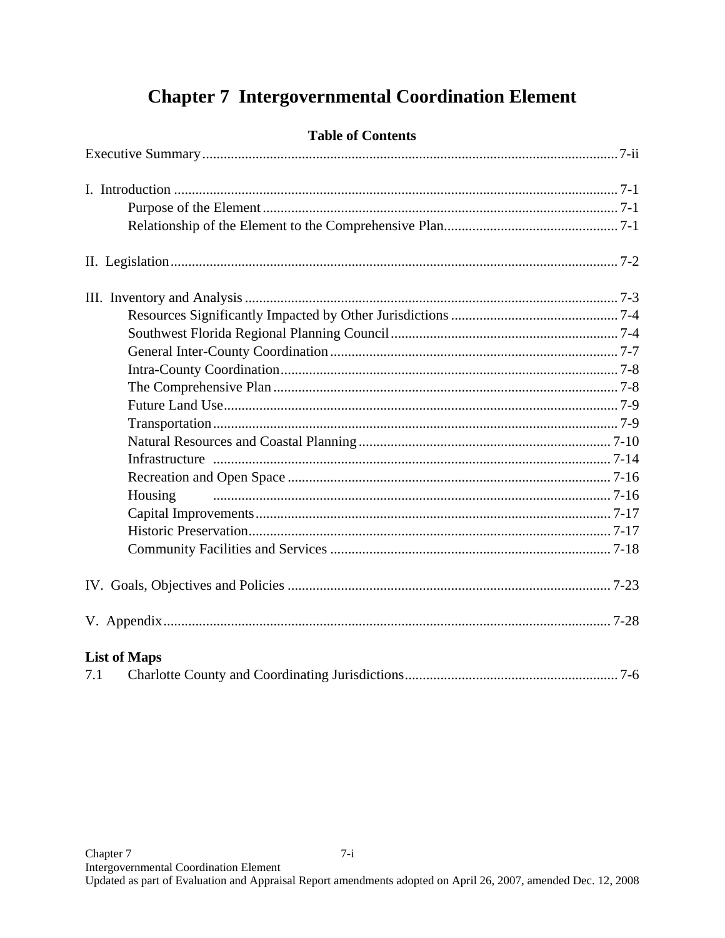# **Chapter 7 Intergovernmental Coordination Element**

|     | Housing             |  |
|-----|---------------------|--|
|     |                     |  |
|     |                     |  |
|     |                     |  |
|     |                     |  |
|     |                     |  |
|     | <b>List of Maps</b> |  |
| 7.1 |                     |  |

# **Table of Contents**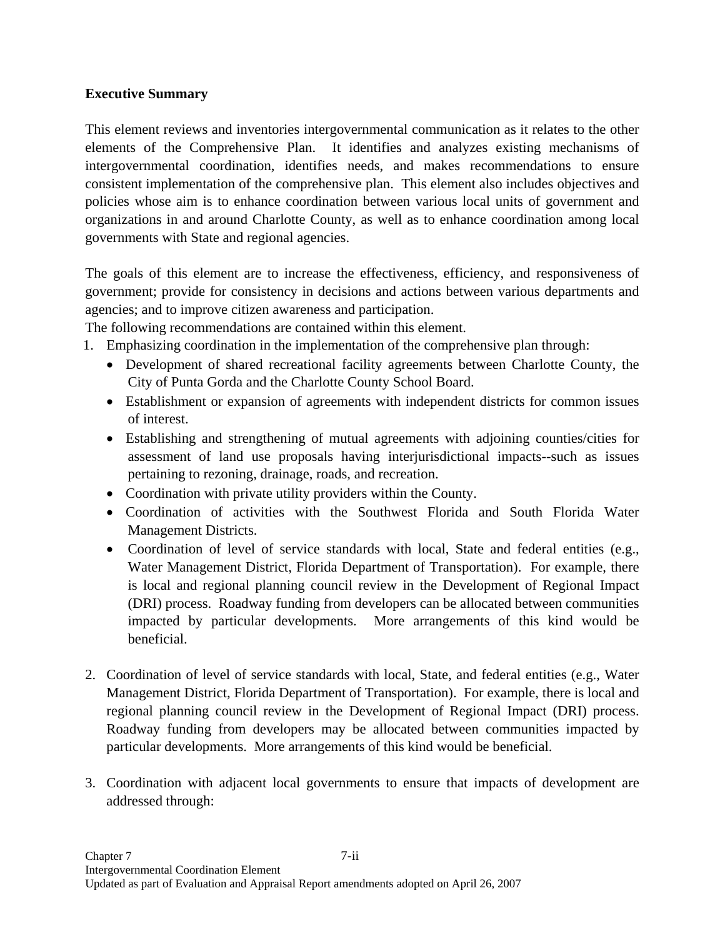## **Executive Summary**

This element reviews and inventories intergovernmental communication as it relates to the other elements of the Comprehensive Plan. It identifies and analyzes existing mechanisms of intergovernmental coordination, identifies needs, and makes recommendations to ensure consistent implementation of the comprehensive plan. This element also includes objectives and policies whose aim is to enhance coordination between various local units of government and organizations in and around Charlotte County, as well as to enhance coordination among local governments with State and regional agencies.

The goals of this element are to increase the effectiveness, efficiency, and responsiveness of government; provide for consistency in decisions and actions between various departments and agencies; and to improve citizen awareness and participation.

The following recommendations are contained within this element.

- 1. Emphasizing coordination in the implementation of the comprehensive plan through:
	- Development of shared recreational facility agreements between Charlotte County, the City of Punta Gorda and the Charlotte County School Board.
	- Establishment or expansion of agreements with independent districts for common issues of interest.
	- Establishing and strengthening of mutual agreements with adjoining counties/cities for assessment of land use proposals having interjurisdictional impacts--such as issues pertaining to rezoning, drainage, roads, and recreation.
	- Coordination with private utility providers within the County.
	- Coordination of activities with the Southwest Florida and South Florida Water Management Districts.
	- Coordination of level of service standards with local, State and federal entities (e.g., Water Management District, Florida Department of Transportation). For example, there is local and regional planning council review in the Development of Regional Impact (DRI) process. Roadway funding from developers can be allocated between communities impacted by particular developments. More arrangements of this kind would be beneficial.
- 2. Coordination of level of service standards with local, State, and federal entities (e.g., Water Management District, Florida Department of Transportation). For example, there is local and regional planning council review in the Development of Regional Impact (DRI) process. Roadway funding from developers may be allocated between communities impacted by particular developments. More arrangements of this kind would be beneficial.
- 3. Coordination with adjacent local governments to ensure that impacts of development are addressed through: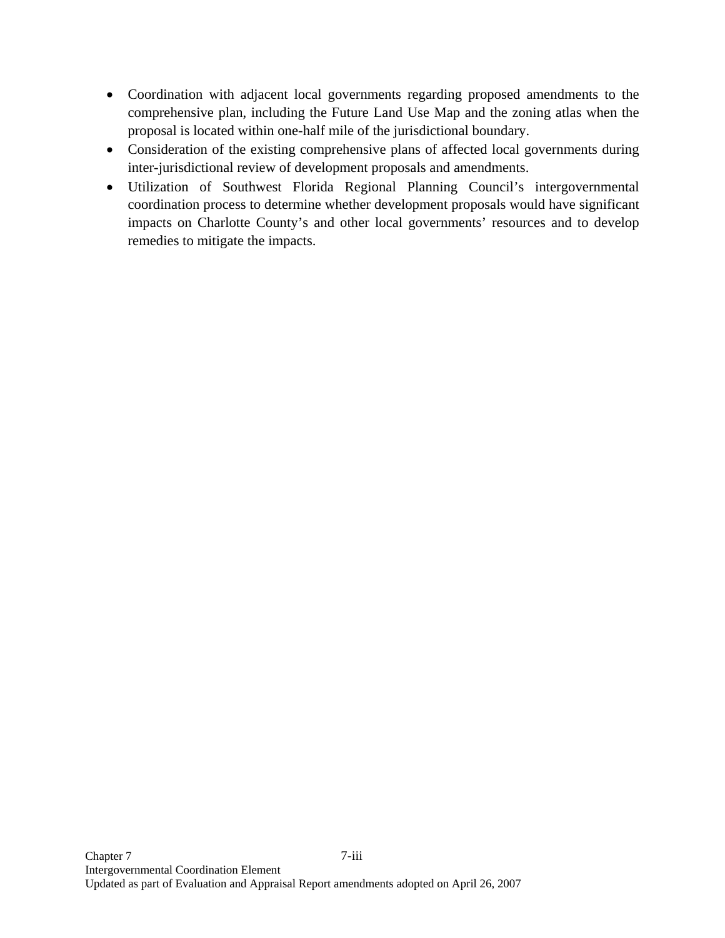- Coordination with adjacent local governments regarding proposed amendments to the comprehensive plan, including the Future Land Use Map and the zoning atlas when the proposal is located within one-half mile of the jurisdictional boundary.
- Consideration of the existing comprehensive plans of affected local governments during inter-jurisdictional review of development proposals and amendments.
- Utilization of Southwest Florida Regional Planning Council's intergovernmental coordination process to determine whether development proposals would have significant impacts on Charlotte County's and other local governments' resources and to develop remedies to mitigate the impacts.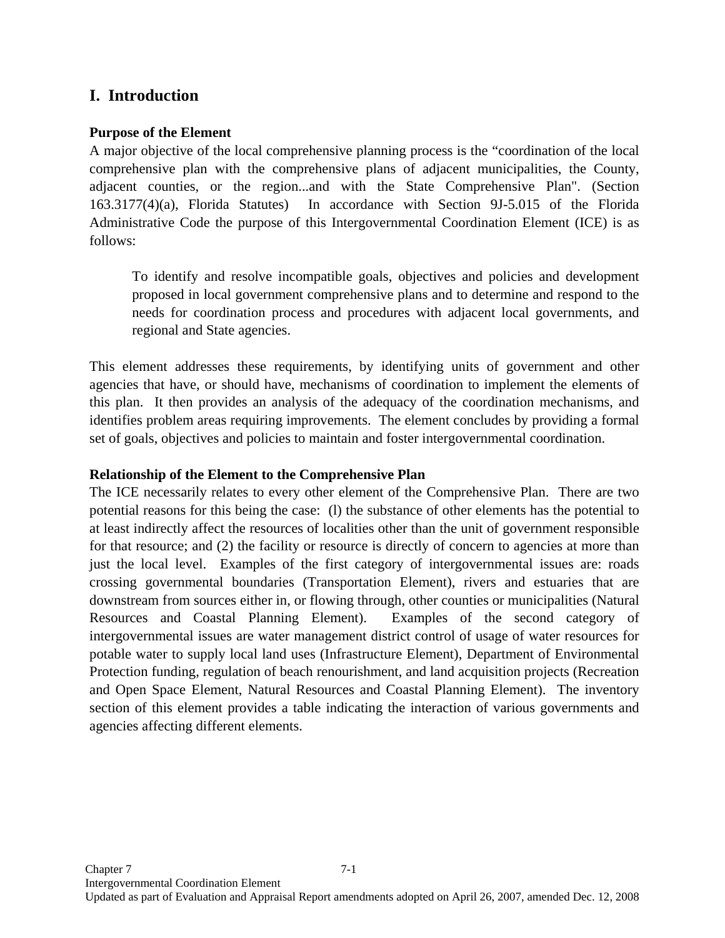# **I. Introduction**

### **Purpose of the Element**

A major objective of the local comprehensive planning process is the "coordination of the local comprehensive plan with the comprehensive plans of adjacent municipalities, the County, adjacent counties, or the region...and with the State Comprehensive Plan". (Section 163.3177(4)(a), Florida Statutes) In accordance with Section 9J-5.015 of the Florida Administrative Code the purpose of this Intergovernmental Coordination Element (ICE) is as follows:

To identify and resolve incompatible goals, objectives and policies and development proposed in local government comprehensive plans and to determine and respond to the needs for coordination process and procedures with adjacent local governments, and regional and State agencies.

This element addresses these requirements, by identifying units of government and other agencies that have, or should have, mechanisms of coordination to implement the elements of this plan. It then provides an analysis of the adequacy of the coordination mechanisms, and identifies problem areas requiring improvements. The element concludes by providing a formal set of goals, objectives and policies to maintain and foster intergovernmental coordination.

### **Relationship of the Element to the Comprehensive Plan**

The ICE necessarily relates to every other element of the Comprehensive Plan. There are two potential reasons for this being the case: (l) the substance of other elements has the potential to at least indirectly affect the resources of localities other than the unit of government responsible for that resource; and (2) the facility or resource is directly of concern to agencies at more than just the local level. Examples of the first category of intergovernmental issues are: roads crossing governmental boundaries (Transportation Element), rivers and estuaries that are downstream from sources either in, or flowing through, other counties or municipalities (Natural Resources and Coastal Planning Element). Examples of the second category of intergovernmental issues are water management district control of usage of water resources for potable water to supply local land uses (Infrastructure Element), Department of Environmental Protection funding, regulation of beach renourishment, and land acquisition projects (Recreation and Open Space Element, Natural Resources and Coastal Planning Element). The inventory section of this element provides a table indicating the interaction of various governments and agencies affecting different elements.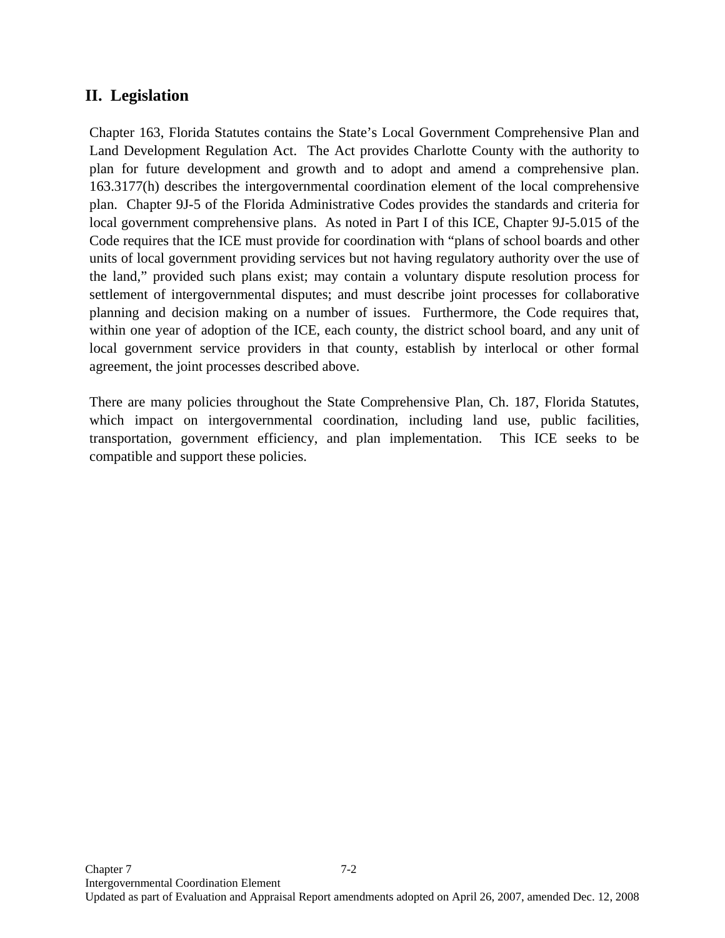# **II. Legislation**

Chapter 163, Florida Statutes contains the State's Local Government Comprehensive Plan and Land Development Regulation Act. The Act provides Charlotte County with the authority to plan for future development and growth and to adopt and amend a comprehensive plan. 163.3177(h) describes the intergovernmental coordination element of the local comprehensive plan. Chapter 9J-5 of the Florida Administrative Codes provides the standards and criteria for local government comprehensive plans. As noted in Part I of this ICE, Chapter 9J-5.015 of the Code requires that the ICE must provide for coordination with "plans of school boards and other units of local government providing services but not having regulatory authority over the use of the land," provided such plans exist; may contain a voluntary dispute resolution process for settlement of intergovernmental disputes; and must describe joint processes for collaborative planning and decision making on a number of issues. Furthermore, the Code requires that, within one year of adoption of the ICE, each county, the district school board, and any unit of local government service providers in that county, establish by interlocal or other formal agreement, the joint processes described above.

There are many policies throughout the State Comprehensive Plan, Ch. 187, Florida Statutes, which impact on intergovernmental coordination, including land use, public facilities, transportation, government efficiency, and plan implementation. This ICE seeks to be compatible and support these policies.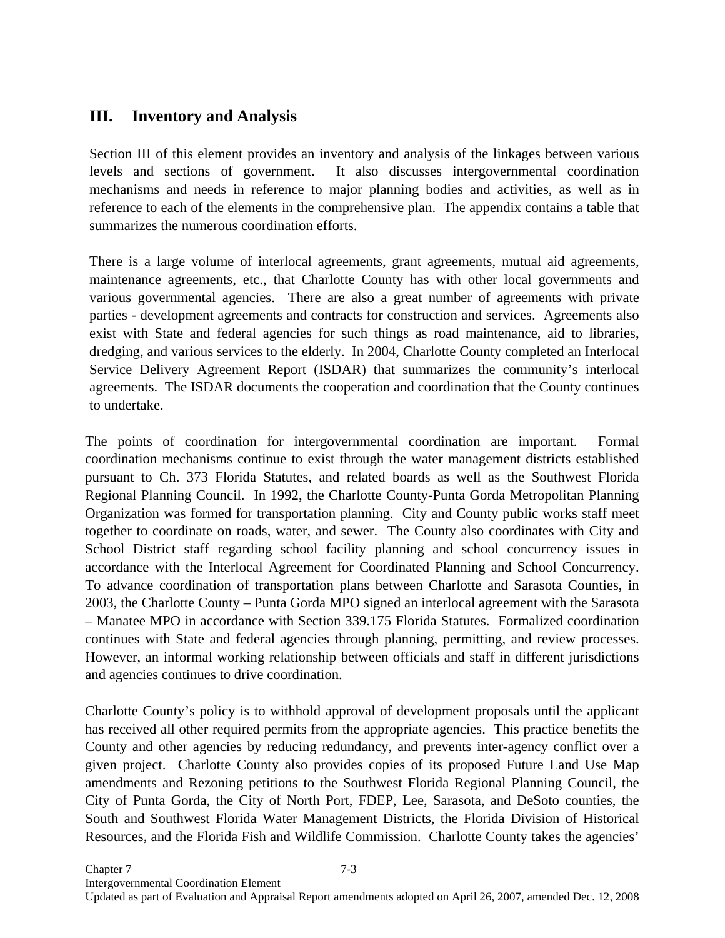# **III. Inventory and Analysis**

Section III of this element provides an inventory and analysis of the linkages between various levels and sections of government. It also discusses intergovernmental coordination mechanisms and needs in reference to major planning bodies and activities, as well as in reference to each of the elements in the comprehensive plan. The appendix contains a table that summarizes the numerous coordination efforts.

There is a large volume of interlocal agreements, grant agreements, mutual aid agreements, maintenance agreements, etc., that Charlotte County has with other local governments and various governmental agencies. There are also a great number of agreements with private parties - development agreements and contracts for construction and services. Agreements also exist with State and federal agencies for such things as road maintenance, aid to libraries, dredging, and various services to the elderly. In 2004, Charlotte County completed an Interlocal Service Delivery Agreement Report (ISDAR) that summarizes the community's interlocal agreements. The ISDAR documents the cooperation and coordination that the County continues to undertake.

The points of coordination for intergovernmental coordination are important. Formal coordination mechanisms continue to exist through the water management districts established pursuant to Ch. 373 Florida Statutes, and related boards as well as the Southwest Florida Regional Planning Council. In 1992, the Charlotte County-Punta Gorda Metropolitan Planning Organization was formed for transportation planning. City and County public works staff meet together to coordinate on roads, water, and sewer. The County also coordinates with City and School District staff regarding school facility planning and school concurrency issues in accordance with the Interlocal Agreement for Coordinated Planning and School Concurrency. To advance coordination of transportation plans between Charlotte and Sarasota Counties, in 2003, the Charlotte County – Punta Gorda MPO signed an interlocal agreement with the Sarasota – Manatee MPO in accordance with Section 339.175 Florida Statutes. Formalized coordination continues with State and federal agencies through planning, permitting, and review processes. However, an informal working relationship between officials and staff in different jurisdictions and agencies continues to drive coordination.

Charlotte County's policy is to withhold approval of development proposals until the applicant has received all other required permits from the appropriate agencies. This practice benefits the County and other agencies by reducing redundancy, and prevents inter-agency conflict over a given project. Charlotte County also provides copies of its proposed Future Land Use Map amendments and Rezoning petitions to the Southwest Florida Regional Planning Council, the City of Punta Gorda, the City of North Port, FDEP, Lee, Sarasota, and DeSoto counties, the South and Southwest Florida Water Management Districts, the Florida Division of Historical Resources, and the Florida Fish and Wildlife Commission. Charlotte County takes the agencies'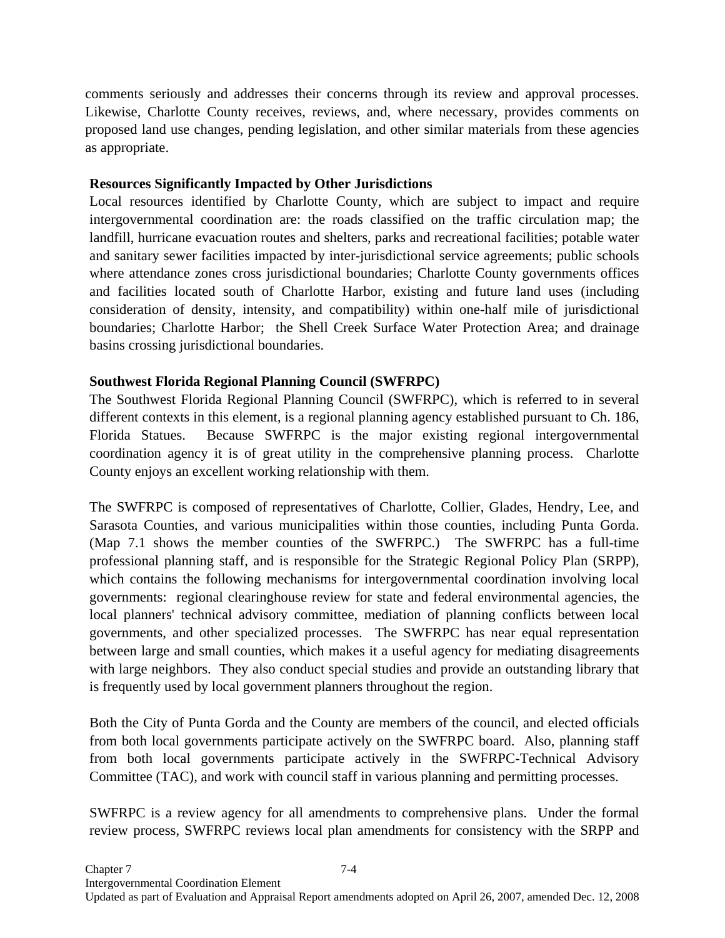comments seriously and addresses their concerns through its review and approval processes. Likewise, Charlotte County receives, reviews, and, where necessary, provides comments on proposed land use changes, pending legislation, and other similar materials from these agencies as appropriate.

## **Resources Significantly Impacted by Other Jurisdictions**

Local resources identified by Charlotte County, which are subject to impact and require intergovernmental coordination are: the roads classified on the traffic circulation map; the landfill, hurricane evacuation routes and shelters, parks and recreational facilities; potable water and sanitary sewer facilities impacted by inter-jurisdictional service agreements; public schools where attendance zones cross jurisdictional boundaries; Charlotte County governments offices and facilities located south of Charlotte Harbor, existing and future land uses (including consideration of density, intensity, and compatibility) within one-half mile of jurisdictional boundaries; Charlotte Harbor; the Shell Creek Surface Water Protection Area; and drainage basins crossing jurisdictional boundaries.

## **Southwest Florida Regional Planning Council (SWFRPC)**

The Southwest Florida Regional Planning Council (SWFRPC), which is referred to in several different contexts in this element, is a regional planning agency established pursuant to Ch. 186, Florida Statues. Because SWFRPC is the major existing regional intergovernmental coordination agency it is of great utility in the comprehensive planning process. Charlotte County enjoys an excellent working relationship with them.

The SWFRPC is composed of representatives of Charlotte, Collier, Glades, Hendry, Lee, and Sarasota Counties, and various municipalities within those counties, including Punta Gorda. (Map 7.1 shows the member counties of the SWFRPC.) The SWFRPC has a full-time professional planning staff, and is responsible for the Strategic Regional Policy Plan (SRPP), which contains the following mechanisms for intergovernmental coordination involving local governments: regional clearinghouse review for state and federal environmental agencies, the local planners' technical advisory committee, mediation of planning conflicts between local governments, and other specialized processes. The SWFRPC has near equal representation between large and small counties, which makes it a useful agency for mediating disagreements with large neighbors. They also conduct special studies and provide an outstanding library that is frequently used by local government planners throughout the region.

Both the City of Punta Gorda and the County are members of the council, and elected officials from both local governments participate actively on the SWFRPC board. Also, planning staff from both local governments participate actively in the SWFRPC-Technical Advisory Committee (TAC), and work with council staff in various planning and permitting processes.

SWFRPC is a review agency for all amendments to comprehensive plans. Under the formal review process, SWFRPC reviews local plan amendments for consistency with the SRPP and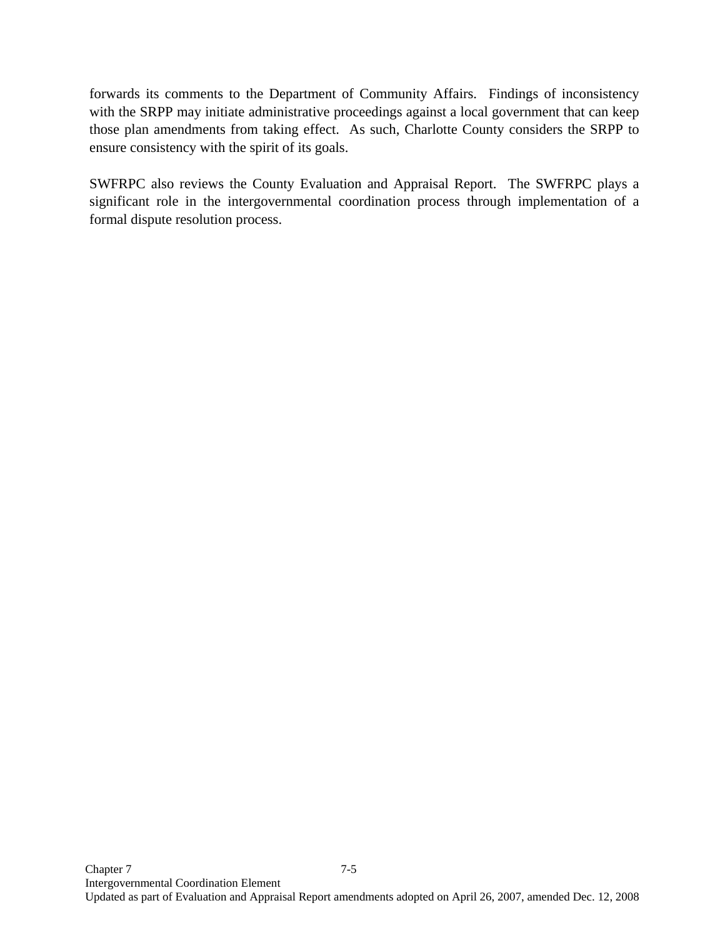forwards its comments to the Department of Community Affairs. Findings of inconsistency with the SRPP may initiate administrative proceedings against a local government that can keep those plan amendments from taking effect. As such, Charlotte County considers the SRPP to ensure consistency with the spirit of its goals.

SWFRPC also reviews the County Evaluation and Appraisal Report. The SWFRPC plays a significant role in the intergovernmental coordination process through implementation of a formal dispute resolution process.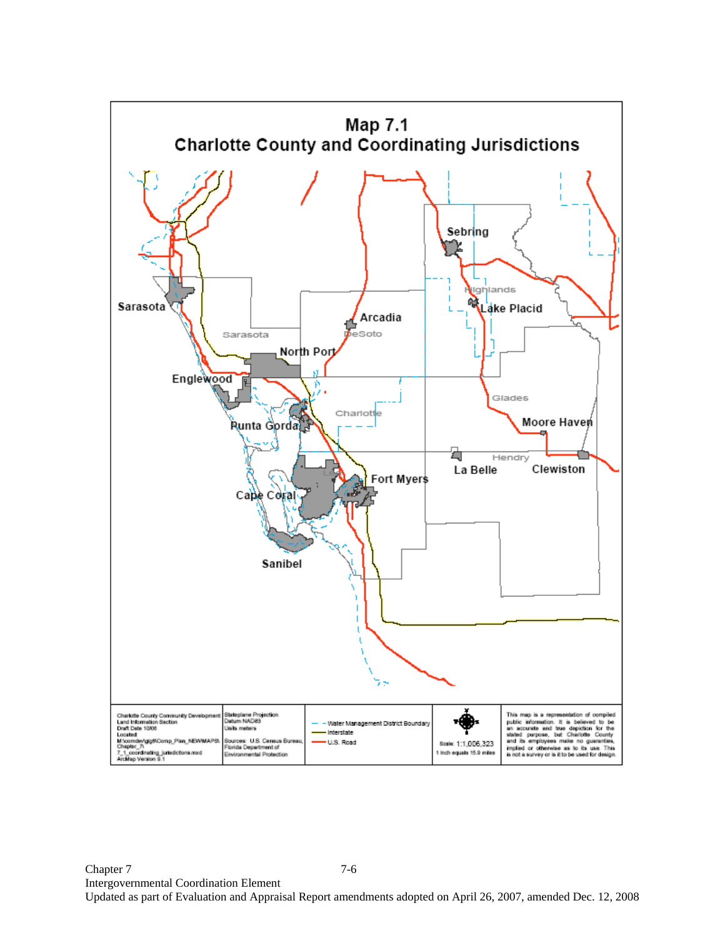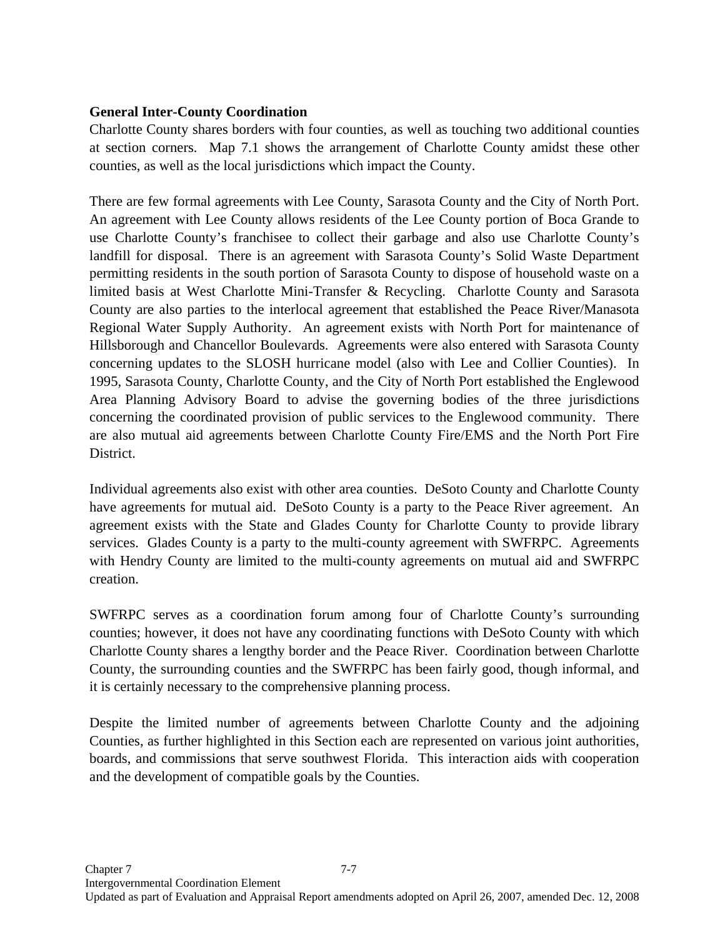## **General Inter-County Coordination**

Charlotte County shares borders with four counties, as well as touching two additional counties at section corners. Map 7.1 shows the arrangement of Charlotte County amidst these other counties, as well as the local jurisdictions which impact the County.

There are few formal agreements with Lee County, Sarasota County and the City of North Port. An agreement with Lee County allows residents of the Lee County portion of Boca Grande to use Charlotte County's franchisee to collect their garbage and also use Charlotte County's landfill for disposal. There is an agreement with Sarasota County's Solid Waste Department permitting residents in the south portion of Sarasota County to dispose of household waste on a limited basis at West Charlotte Mini-Transfer & Recycling. Charlotte County and Sarasota County are also parties to the interlocal agreement that established the Peace River/Manasota Regional Water Supply Authority. An agreement exists with North Port for maintenance of Hillsborough and Chancellor Boulevards. Agreements were also entered with Sarasota County concerning updates to the SLOSH hurricane model (also with Lee and Collier Counties). In 1995, Sarasota County, Charlotte County, and the City of North Port established the Englewood Area Planning Advisory Board to advise the governing bodies of the three jurisdictions concerning the coordinated provision of public services to the Englewood community. There are also mutual aid agreements between Charlotte County Fire/EMS and the North Port Fire District.

Individual agreements also exist with other area counties. DeSoto County and Charlotte County have agreements for mutual aid. DeSoto County is a party to the Peace River agreement. An agreement exists with the State and Glades County for Charlotte County to provide library services. Glades County is a party to the multi-county agreement with SWFRPC. Agreements with Hendry County are limited to the multi-county agreements on mutual aid and SWFRPC creation.

SWFRPC serves as a coordination forum among four of Charlotte County's surrounding counties; however, it does not have any coordinating functions with DeSoto County with which Charlotte County shares a lengthy border and the Peace River. Coordination between Charlotte County, the surrounding counties and the SWFRPC has been fairly good, though informal, and it is certainly necessary to the comprehensive planning process.

Despite the limited number of agreements between Charlotte County and the adjoining Counties, as further highlighted in this Section each are represented on various joint authorities, boards, and commissions that serve southwest Florida. This interaction aids with cooperation and the development of compatible goals by the Counties.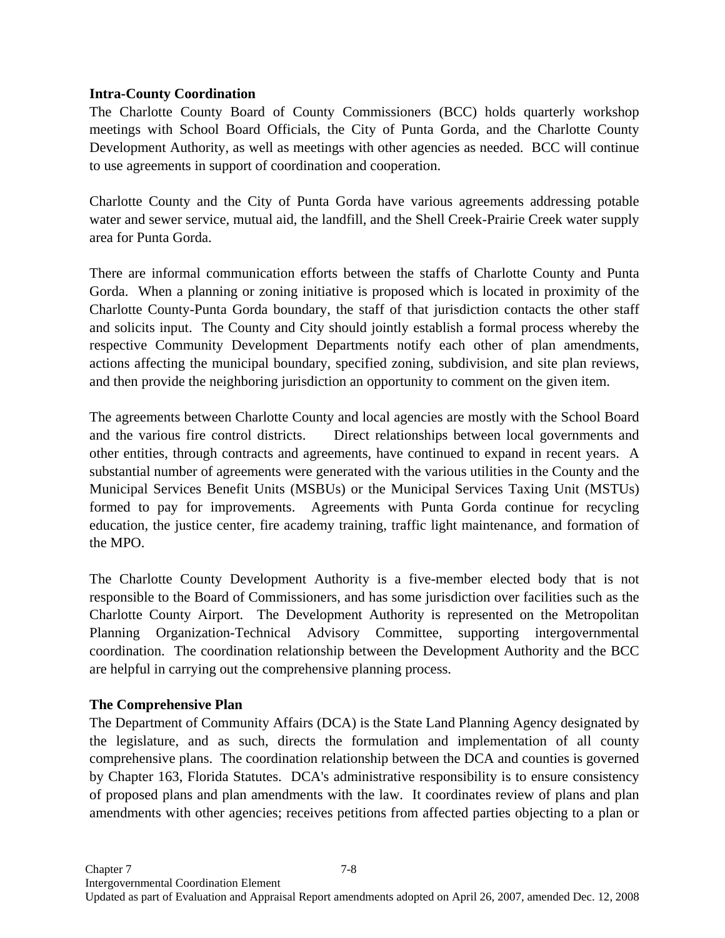## **Intra-County Coordination**

The Charlotte County Board of County Commissioners (BCC) holds quarterly workshop meetings with School Board Officials, the City of Punta Gorda, and the Charlotte County Development Authority, as well as meetings with other agencies as needed. BCC will continue to use agreements in support of coordination and cooperation.

Charlotte County and the City of Punta Gorda have various agreements addressing potable water and sewer service, mutual aid, the landfill, and the Shell Creek-Prairie Creek water supply area for Punta Gorda.

There are informal communication efforts between the staffs of Charlotte County and Punta Gorda. When a planning or zoning initiative is proposed which is located in proximity of the Charlotte County-Punta Gorda boundary, the staff of that jurisdiction contacts the other staff and solicits input. The County and City should jointly establish a formal process whereby the respective Community Development Departments notify each other of plan amendments, actions affecting the municipal boundary, specified zoning, subdivision, and site plan reviews, and then provide the neighboring jurisdiction an opportunity to comment on the given item.

The agreements between Charlotte County and local agencies are mostly with the School Board and the various fire control districts. Direct relationships between local governments and other entities, through contracts and agreements, have continued to expand in recent years. A substantial number of agreements were generated with the various utilities in the County and the Municipal Services Benefit Units (MSBUs) or the Municipal Services Taxing Unit (MSTUs) formed to pay for improvements. Agreements with Punta Gorda continue for recycling education, the justice center, fire academy training, traffic light maintenance, and formation of the MPO.

The Charlotte County Development Authority is a five-member elected body that is not responsible to the Board of Commissioners, and has some jurisdiction over facilities such as the Charlotte County Airport. The Development Authority is represented on the Metropolitan Planning Organization-Technical Advisory Committee, supporting intergovernmental coordination. The coordination relationship between the Development Authority and the BCC are helpful in carrying out the comprehensive planning process.

### **The Comprehensive Plan**

The Department of Community Affairs (DCA) is the State Land Planning Agency designated by the legislature, and as such, directs the formulation and implementation of all county comprehensive plans. The coordination relationship between the DCA and counties is governed by Chapter 163, Florida Statutes. DCA's administrative responsibility is to ensure consistency of proposed plans and plan amendments with the law. It coordinates review of plans and plan amendments with other agencies; receives petitions from affected parties objecting to a plan or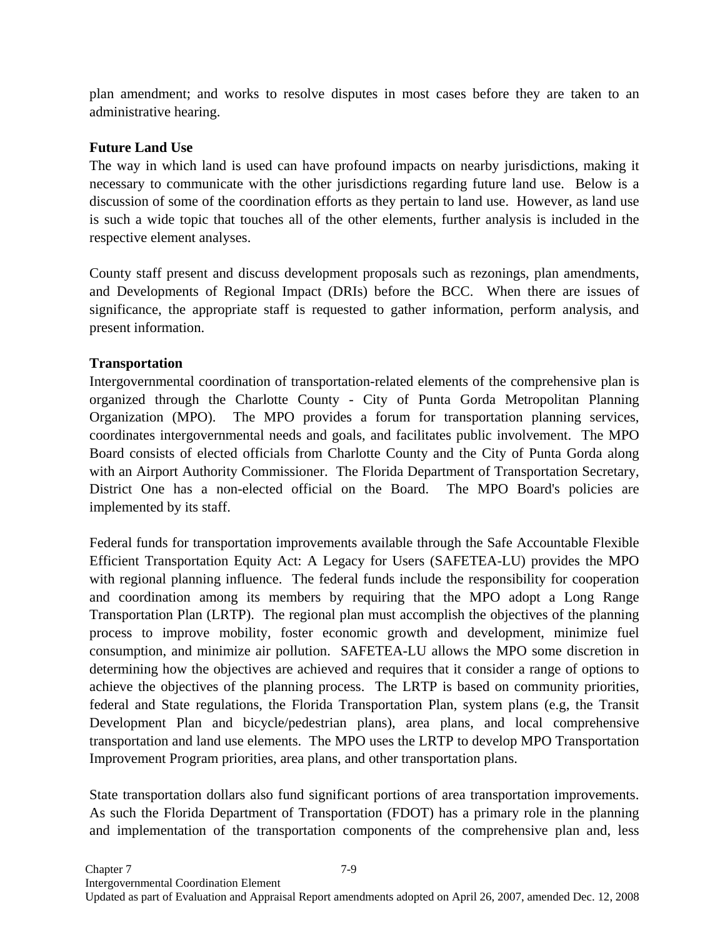plan amendment; and works to resolve disputes in most cases before they are taken to an administrative hearing.

## **Future Land Use**

The way in which land is used can have profound impacts on nearby jurisdictions, making it necessary to communicate with the other jurisdictions regarding future land use. Below is a discussion of some of the coordination efforts as they pertain to land use. However, as land use is such a wide topic that touches all of the other elements, further analysis is included in the respective element analyses.

County staff present and discuss development proposals such as rezonings, plan amendments, and Developments of Regional Impact (DRIs) before the BCC. When there are issues of significance, the appropriate staff is requested to gather information, perform analysis, and present information.

# **Transportation**

Intergovernmental coordination of transportation-related elements of the comprehensive plan is organized through the Charlotte County - City of Punta Gorda Metropolitan Planning Organization (MPO). The MPO provides a forum for transportation planning services, coordinates intergovernmental needs and goals, and facilitates public involvement. The MPO Board consists of elected officials from Charlotte County and the City of Punta Gorda along with an Airport Authority Commissioner. The Florida Department of Transportation Secretary, District One has a non-elected official on the Board. The MPO Board's policies are implemented by its staff.

Federal funds for transportation improvements available through the Safe Accountable Flexible Efficient Transportation Equity Act: A Legacy for Users (SAFETEA-LU) provides the MPO with regional planning influence. The federal funds include the responsibility for cooperation and coordination among its members by requiring that the MPO adopt a Long Range Transportation Plan (LRTP). The regional plan must accomplish the objectives of the planning process to improve mobility, foster economic growth and development, minimize fuel consumption, and minimize air pollution. SAFETEA-LU allows the MPO some discretion in determining how the objectives are achieved and requires that it consider a range of options to achieve the objectives of the planning process. The LRTP is based on community priorities, federal and State regulations, the Florida Transportation Plan, system plans (e.g, the Transit Development Plan and bicycle/pedestrian plans), area plans, and local comprehensive transportation and land use elements. The MPO uses the LRTP to develop MPO Transportation Improvement Program priorities, area plans, and other transportation plans.

State transportation dollars also fund significant portions of area transportation improvements. As such the Florida Department of Transportation (FDOT) has a primary role in the planning and implementation of the transportation components of the comprehensive plan and, less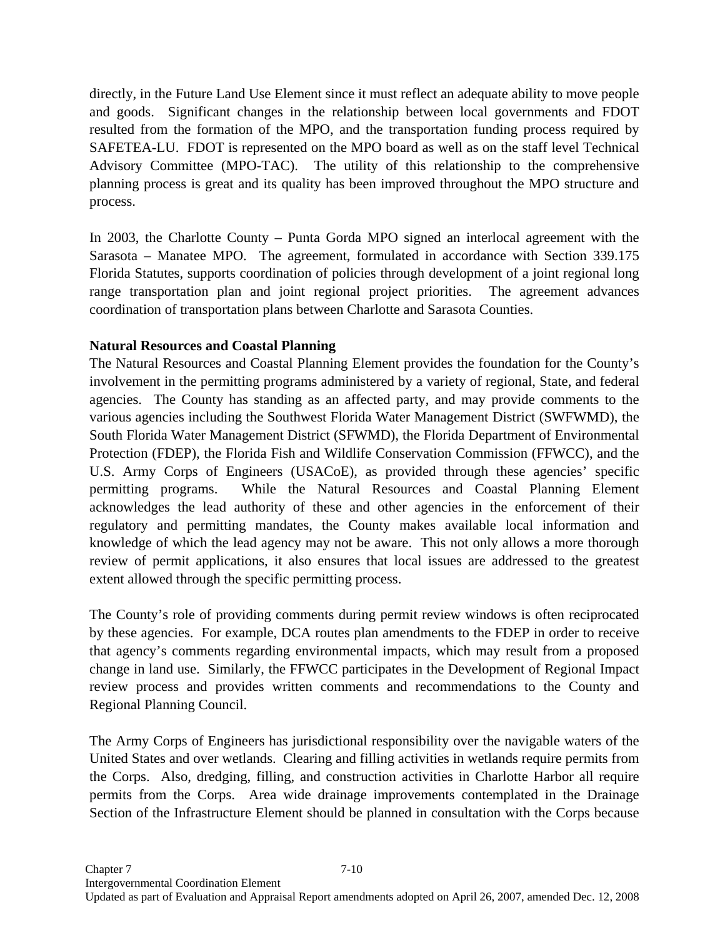directly, in the Future Land Use Element since it must reflect an adequate ability to move people and goods. Significant changes in the relationship between local governments and FDOT resulted from the formation of the MPO, and the transportation funding process required by SAFETEA-LU. FDOT is represented on the MPO board as well as on the staff level Technical Advisory Committee (MPO-TAC). The utility of this relationship to the comprehensive planning process is great and its quality has been improved throughout the MPO structure and process.

In 2003, the Charlotte County – Punta Gorda MPO signed an interlocal agreement with the Sarasota – Manatee MPO. The agreement, formulated in accordance with Section 339.175 Florida Statutes, supports coordination of policies through development of a joint regional long range transportation plan and joint regional project priorities. The agreement advances coordination of transportation plans between Charlotte and Sarasota Counties.

# **Natural Resources and Coastal Planning**

The Natural Resources and Coastal Planning Element provides the foundation for the County's involvement in the permitting programs administered by a variety of regional, State, and federal agencies. The County has standing as an affected party, and may provide comments to the various agencies including the Southwest Florida Water Management District (SWFWMD), the South Florida Water Management District (SFWMD), the Florida Department of Environmental Protection (FDEP), the Florida Fish and Wildlife Conservation Commission (FFWCC), and the U.S. Army Corps of Engineers (USACoE), as provided through these agencies' specific permitting programs. While the Natural Resources and Coastal Planning Element acknowledges the lead authority of these and other agencies in the enforcement of their regulatory and permitting mandates, the County makes available local information and knowledge of which the lead agency may not be aware. This not only allows a more thorough review of permit applications, it also ensures that local issues are addressed to the greatest extent allowed through the specific permitting process.

The County's role of providing comments during permit review windows is often reciprocated by these agencies. For example, DCA routes plan amendments to the FDEP in order to receive that agency's comments regarding environmental impacts, which may result from a proposed change in land use. Similarly, the FFWCC participates in the Development of Regional Impact review process and provides written comments and recommendations to the County and Regional Planning Council.

The Army Corps of Engineers has jurisdictional responsibility over the navigable waters of the United States and over wetlands. Clearing and filling activities in wetlands require permits from the Corps. Also, dredging, filling, and construction activities in Charlotte Harbor all require permits from the Corps. Area wide drainage improvements contemplated in the Drainage Section of the Infrastructure Element should be planned in consultation with the Corps because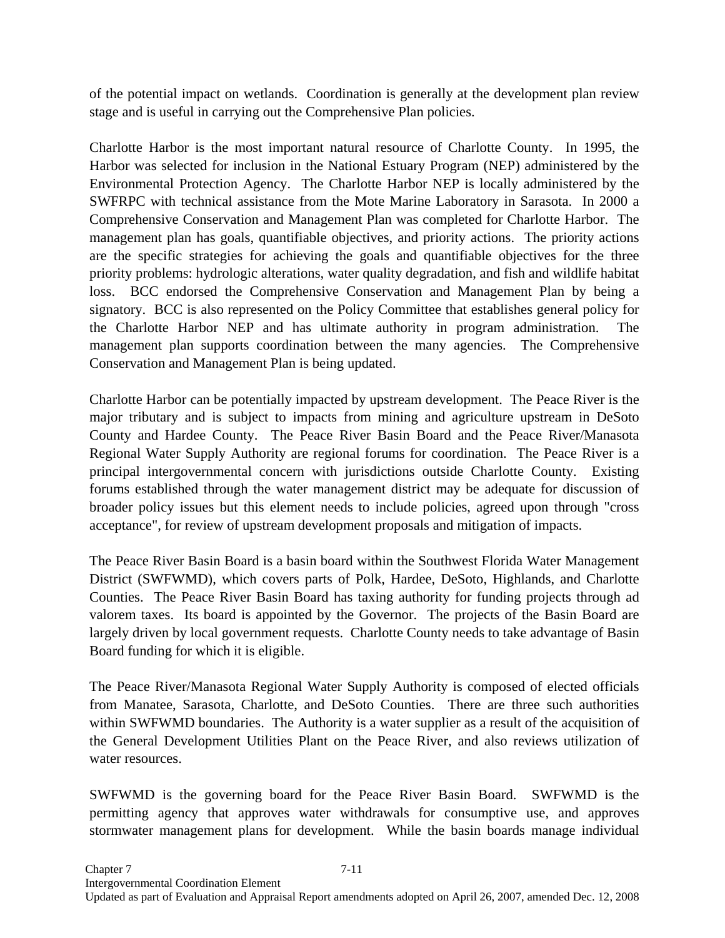of the potential impact on wetlands. Coordination is generally at the development plan review stage and is useful in carrying out the Comprehensive Plan policies.

Charlotte Harbor is the most important natural resource of Charlotte County. In 1995, the Harbor was selected for inclusion in the National Estuary Program (NEP) administered by the Environmental Protection Agency. The Charlotte Harbor NEP is locally administered by the SWFRPC with technical assistance from the Mote Marine Laboratory in Sarasota. In 2000 a Comprehensive Conservation and Management Plan was completed for Charlotte Harbor. The management plan has goals, quantifiable objectives, and priority actions. The priority actions are the specific strategies for achieving the goals and quantifiable objectives for the three priority problems: hydrologic alterations, water quality degradation, and fish and wildlife habitat loss. BCC endorsed the Comprehensive Conservation and Management Plan by being a signatory. BCC is also represented on the Policy Committee that establishes general policy for the Charlotte Harbor NEP and has ultimate authority in program administration. The management plan supports coordination between the many agencies. The Comprehensive Conservation and Management Plan is being updated.

Charlotte Harbor can be potentially impacted by upstream development. The Peace River is the major tributary and is subject to impacts from mining and agriculture upstream in DeSoto County and Hardee County. The Peace River Basin Board and the Peace River/Manasota Regional Water Supply Authority are regional forums for coordination. The Peace River is a principal intergovernmental concern with jurisdictions outside Charlotte County. Existing forums established through the water management district may be adequate for discussion of broader policy issues but this element needs to include policies, agreed upon through "cross acceptance", for review of upstream development proposals and mitigation of impacts.

The Peace River Basin Board is a basin board within the Southwest Florida Water Management District (SWFWMD), which covers parts of Polk, Hardee, DeSoto, Highlands, and Charlotte Counties. The Peace River Basin Board has taxing authority for funding projects through ad valorem taxes. Its board is appointed by the Governor. The projects of the Basin Board are largely driven by local government requests. Charlotte County needs to take advantage of Basin Board funding for which it is eligible.

The Peace River/Manasota Regional Water Supply Authority is composed of elected officials from Manatee, Sarasota, Charlotte, and DeSoto Counties. There are three such authorities within SWFWMD boundaries. The Authority is a water supplier as a result of the acquisition of the General Development Utilities Plant on the Peace River, and also reviews utilization of water resources.

SWFWMD is the governing board for the Peace River Basin Board. SWFWMD is the permitting agency that approves water withdrawals for consumptive use, and approves stormwater management plans for development. While the basin boards manage individual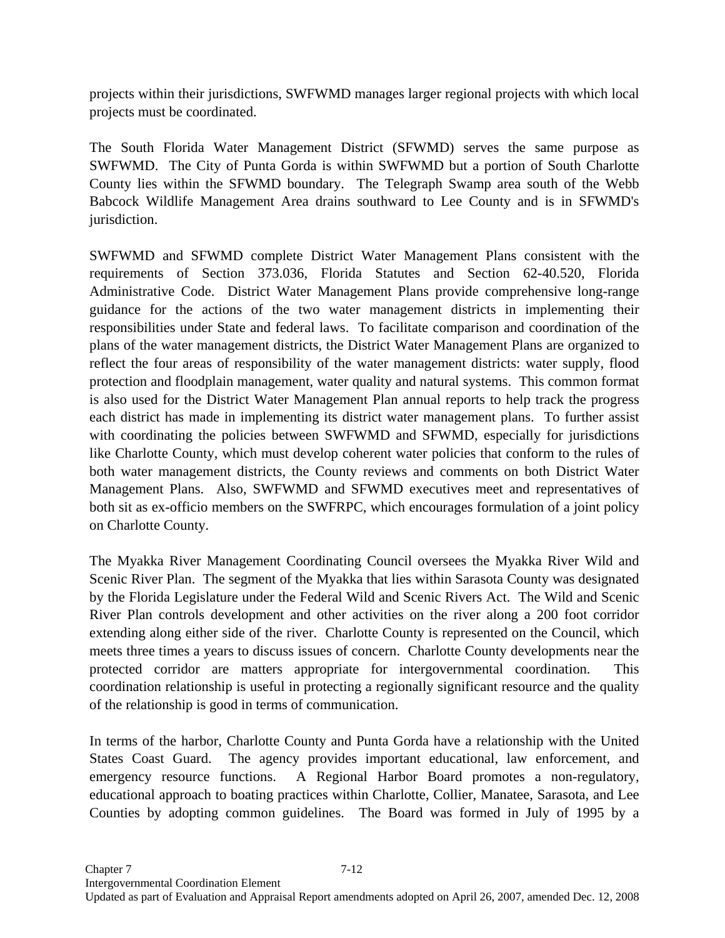projects within their jurisdictions, SWFWMD manages larger regional projects with which local projects must be coordinated.

The South Florida Water Management District (SFWMD) serves the same purpose as SWFWMD. The City of Punta Gorda is within SWFWMD but a portion of South Charlotte County lies within the SFWMD boundary. The Telegraph Swamp area south of the Webb Babcock Wildlife Management Area drains southward to Lee County and is in SFWMD's jurisdiction.

SWFWMD and SFWMD complete District Water Management Plans consistent with the requirements of Section 373.036, Florida Statutes and Section 62-40.520, Florida Administrative Code. District Water Management Plans provide comprehensive long-range guidance for the actions of the two water management districts in implementing their responsibilities under State and federal laws. To facilitate comparison and coordination of the plans of the water management districts, the District Water Management Plans are organized to reflect the four areas of responsibility of the water management districts: water supply, flood protection and floodplain management, water quality and natural systems. This common format is also used for the District Water Management Plan annual reports to help track the progress each district has made in implementing its district water management plans. To further assist with coordinating the policies between SWFWMD and SFWMD, especially for jurisdictions like Charlotte County, which must develop coherent water policies that conform to the rules of both water management districts, the County reviews and comments on both District Water Management Plans. Also, SWFWMD and SFWMD executives meet and representatives of both sit as ex-officio members on the SWFRPC, which encourages formulation of a joint policy on Charlotte County.

The Myakka River Management Coordinating Council oversees the Myakka River Wild and Scenic River Plan. The segment of the Myakka that lies within Sarasota County was designated by the Florida Legislature under the Federal Wild and Scenic Rivers Act. The Wild and Scenic River Plan controls development and other activities on the river along a 200 foot corridor extending along either side of the river. Charlotte County is represented on the Council, which meets three times a years to discuss issues of concern. Charlotte County developments near the protected corridor are matters appropriate for intergovernmental coordination. This coordination relationship is useful in protecting a regionally significant resource and the quality of the relationship is good in terms of communication.

In terms of the harbor, Charlotte County and Punta Gorda have a relationship with the United States Coast Guard. The agency provides important educational, law enforcement, and emergency resource functions. A Regional Harbor Board promotes a non-regulatory, educational approach to boating practices within Charlotte, Collier, Manatee, Sarasota, and Lee Counties by adopting common guidelines. The Board was formed in July of 1995 by a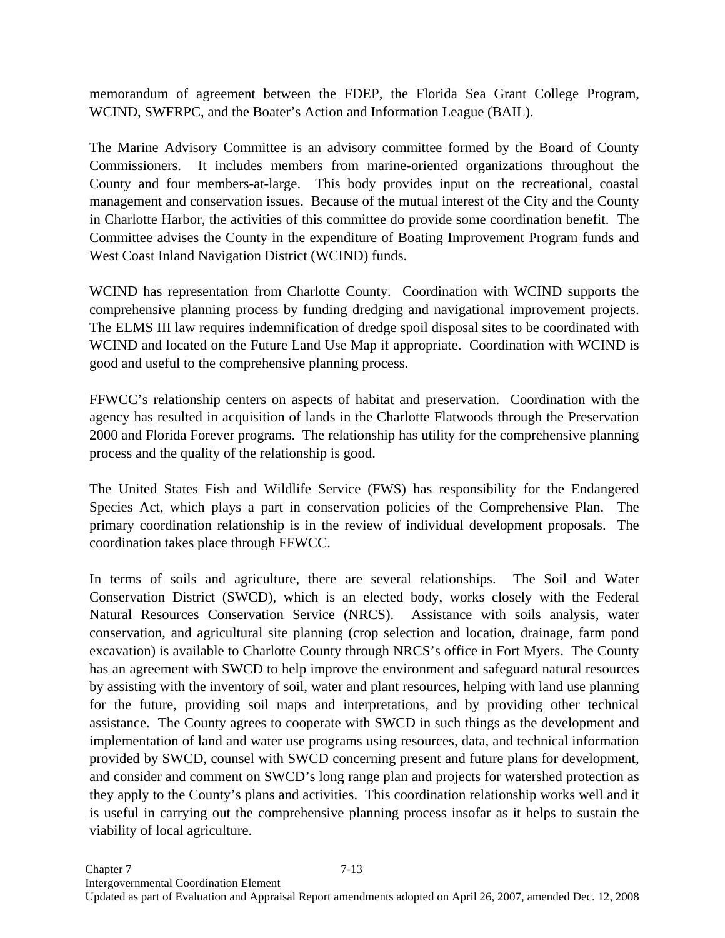memorandum of agreement between the FDEP, the Florida Sea Grant College Program, WCIND, SWFRPC, and the Boater's Action and Information League (BAIL).

The Marine Advisory Committee is an advisory committee formed by the Board of County Commissioners. It includes members from marine-oriented organizations throughout the County and four members-at-large. This body provides input on the recreational, coastal management and conservation issues. Because of the mutual interest of the City and the County in Charlotte Harbor, the activities of this committee do provide some coordination benefit. The Committee advises the County in the expenditure of Boating Improvement Program funds and West Coast Inland Navigation District (WCIND) funds.

WCIND has representation from Charlotte County. Coordination with WCIND supports the comprehensive planning process by funding dredging and navigational improvement projects. The ELMS III law requires indemnification of dredge spoil disposal sites to be coordinated with WCIND and located on the Future Land Use Map if appropriate. Coordination with WCIND is good and useful to the comprehensive planning process.

FFWCC's relationship centers on aspects of habitat and preservation. Coordination with the agency has resulted in acquisition of lands in the Charlotte Flatwoods through the Preservation 2000 and Florida Forever programs. The relationship has utility for the comprehensive planning process and the quality of the relationship is good.

The United States Fish and Wildlife Service (FWS) has responsibility for the Endangered Species Act, which plays a part in conservation policies of the Comprehensive Plan. The primary coordination relationship is in the review of individual development proposals. The coordination takes place through FFWCC.

In terms of soils and agriculture, there are several relationships. The Soil and Water Conservation District (SWCD), which is an elected body, works closely with the Federal Natural Resources Conservation Service (NRCS). Assistance with soils analysis, water conservation, and agricultural site planning (crop selection and location, drainage, farm pond excavation) is available to Charlotte County through NRCS's office in Fort Myers. The County has an agreement with SWCD to help improve the environment and safeguard natural resources by assisting with the inventory of soil, water and plant resources, helping with land use planning for the future, providing soil maps and interpretations, and by providing other technical assistance. The County agrees to cooperate with SWCD in such things as the development and implementation of land and water use programs using resources, data, and technical information provided by SWCD, counsel with SWCD concerning present and future plans for development, and consider and comment on SWCD's long range plan and projects for watershed protection as they apply to the County's plans and activities. This coordination relationship works well and it is useful in carrying out the comprehensive planning process insofar as it helps to sustain the viability of local agriculture.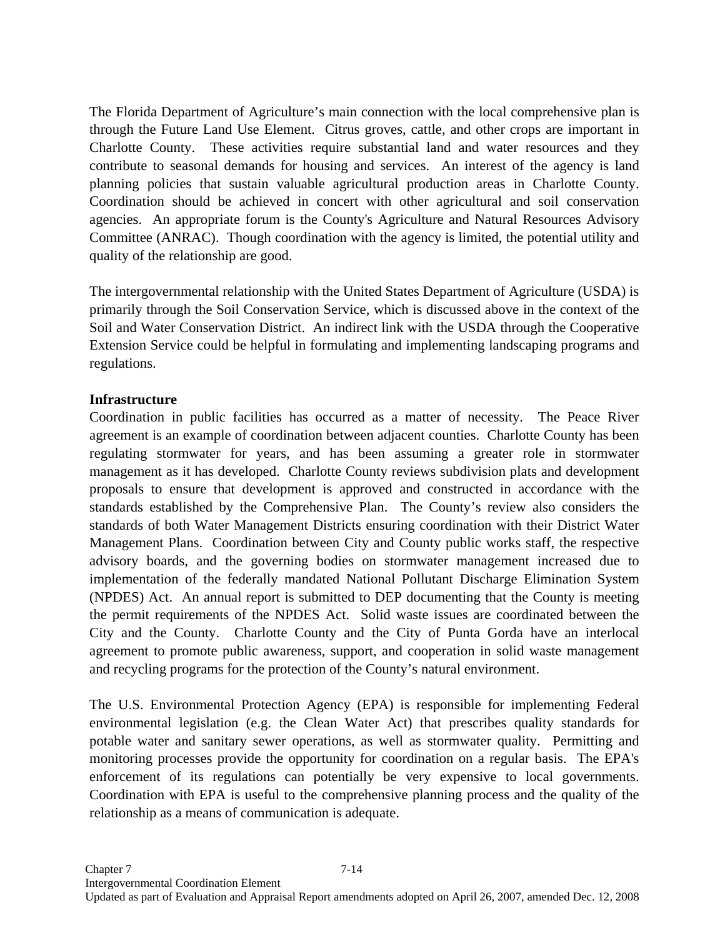The Florida Department of Agriculture's main connection with the local comprehensive plan is through the Future Land Use Element. Citrus groves, cattle, and other crops are important in Charlotte County. These activities require substantial land and water resources and they contribute to seasonal demands for housing and services. An interest of the agency is land planning policies that sustain valuable agricultural production areas in Charlotte County. Coordination should be achieved in concert with other agricultural and soil conservation agencies. An appropriate forum is the County's Agriculture and Natural Resources Advisory Committee (ANRAC). Though coordination with the agency is limited, the potential utility and quality of the relationship are good.

The intergovernmental relationship with the United States Department of Agriculture (USDA) is primarily through the Soil Conservation Service, which is discussed above in the context of the Soil and Water Conservation District. An indirect link with the USDA through the Cooperative Extension Service could be helpful in formulating and implementing landscaping programs and regulations.

### **Infrastructure**

Coordination in public facilities has occurred as a matter of necessity. The Peace River agreement is an example of coordination between adjacent counties. Charlotte County has been regulating stormwater for years, and has been assuming a greater role in stormwater management as it has developed. Charlotte County reviews subdivision plats and development proposals to ensure that development is approved and constructed in accordance with the standards established by the Comprehensive Plan. The County's review also considers the standards of both Water Management Districts ensuring coordination with their District Water Management Plans. Coordination between City and County public works staff, the respective advisory boards, and the governing bodies on stormwater management increased due to implementation of the federally mandated National Pollutant Discharge Elimination System (NPDES) Act. An annual report is submitted to DEP documenting that the County is meeting the permit requirements of the NPDES Act. Solid waste issues are coordinated between the City and the County. Charlotte County and the City of Punta Gorda have an interlocal agreement to promote public awareness, support, and cooperation in solid waste management and recycling programs for the protection of the County's natural environment.

The U.S. Environmental Protection Agency (EPA) is responsible for implementing Federal environmental legislation (e.g. the Clean Water Act) that prescribes quality standards for potable water and sanitary sewer operations, as well as stormwater quality. Permitting and monitoring processes provide the opportunity for coordination on a regular basis. The EPA's enforcement of its regulations can potentially be very expensive to local governments. Coordination with EPA is useful to the comprehensive planning process and the quality of the relationship as a means of communication is adequate.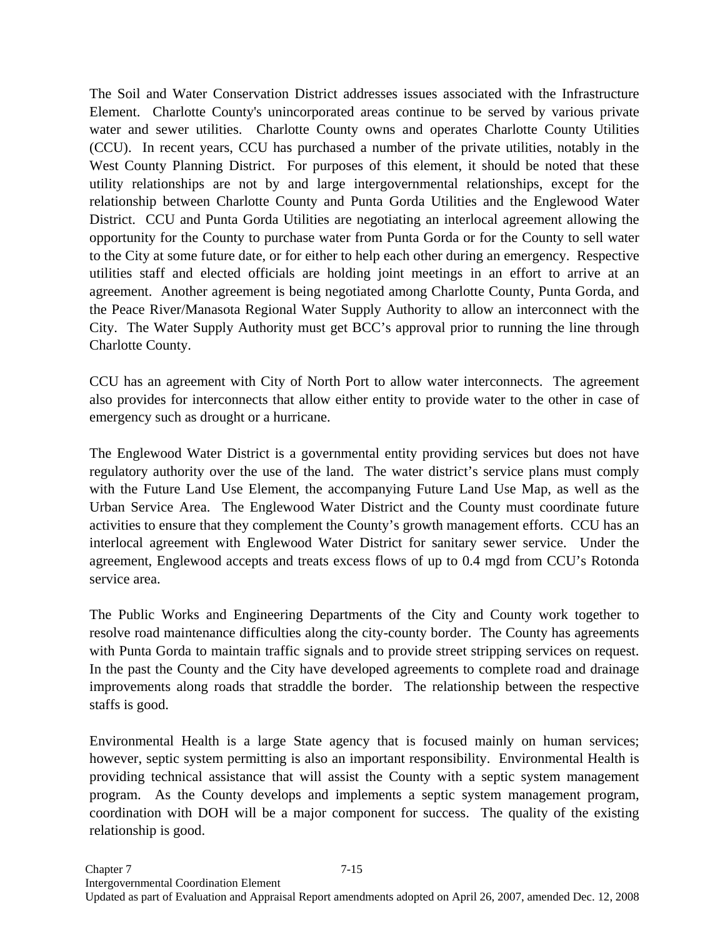The Soil and Water Conservation District addresses issues associated with the Infrastructure Element. Charlotte County's unincorporated areas continue to be served by various private water and sewer utilities. Charlotte County owns and operates Charlotte County Utilities (CCU). In recent years, CCU has purchased a number of the private utilities, notably in the West County Planning District. For purposes of this element, it should be noted that these utility relationships are not by and large intergovernmental relationships, except for the relationship between Charlotte County and Punta Gorda Utilities and the Englewood Water District. CCU and Punta Gorda Utilities are negotiating an interlocal agreement allowing the opportunity for the County to purchase water from Punta Gorda or for the County to sell water to the City at some future date, or for either to help each other during an emergency. Respective utilities staff and elected officials are holding joint meetings in an effort to arrive at an agreement. Another agreement is being negotiated among Charlotte County, Punta Gorda, and the Peace River/Manasota Regional Water Supply Authority to allow an interconnect with the City. The Water Supply Authority must get BCC's approval prior to running the line through Charlotte County.

CCU has an agreement with City of North Port to allow water interconnects. The agreement also provides for interconnects that allow either entity to provide water to the other in case of emergency such as drought or a hurricane.

The Englewood Water District is a governmental entity providing services but does not have regulatory authority over the use of the land. The water district's service plans must comply with the Future Land Use Element, the accompanying Future Land Use Map, as well as the Urban Service Area. The Englewood Water District and the County must coordinate future activities to ensure that they complement the County's growth management efforts. CCU has an interlocal agreement with Englewood Water District for sanitary sewer service. Under the agreement, Englewood accepts and treats excess flows of up to 0.4 mgd from CCU's Rotonda service area.

The Public Works and Engineering Departments of the City and County work together to resolve road maintenance difficulties along the city-county border. The County has agreements with Punta Gorda to maintain traffic signals and to provide street stripping services on request. In the past the County and the City have developed agreements to complete road and drainage improvements along roads that straddle the border. The relationship between the respective staffs is good.

Environmental Health is a large State agency that is focused mainly on human services; however, septic system permitting is also an important responsibility. Environmental Health is providing technical assistance that will assist the County with a septic system management program. As the County develops and implements a septic system management program, coordination with DOH will be a major component for success. The quality of the existing relationship is good.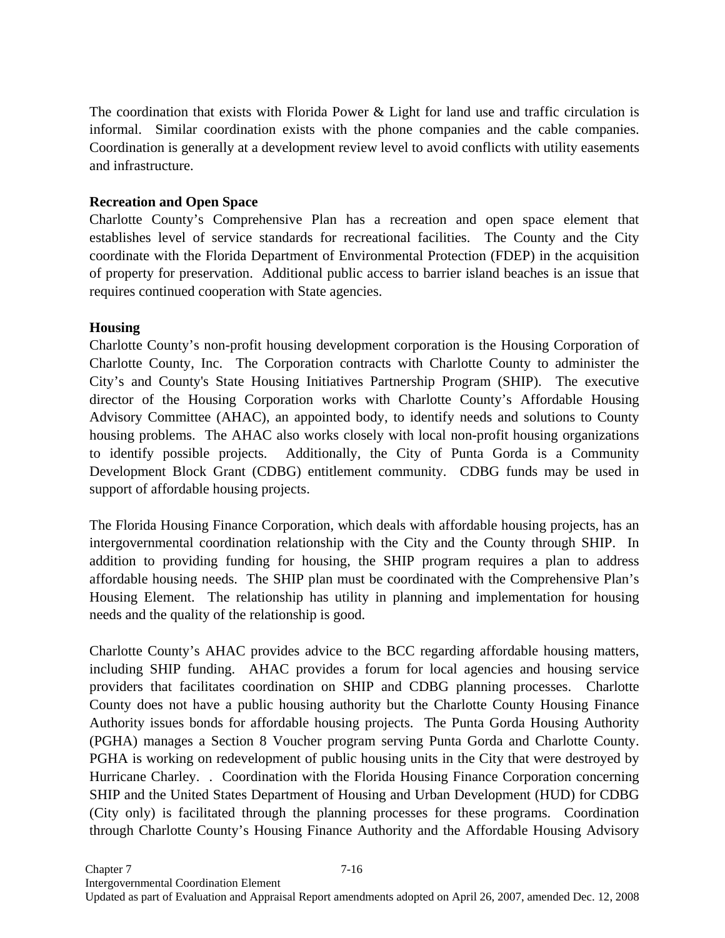The coordination that exists with Florida Power & Light for land use and traffic circulation is informal. Similar coordination exists with the phone companies and the cable companies. Coordination is generally at a development review level to avoid conflicts with utility easements and infrastructure.

## **Recreation and Open Space**

Charlotte County's Comprehensive Plan has a recreation and open space element that establishes level of service standards for recreational facilities. The County and the City coordinate with the Florida Department of Environmental Protection (FDEP) in the acquisition of property for preservation. Additional public access to barrier island beaches is an issue that requires continued cooperation with State agencies.

# **Housing**

Charlotte County's non-profit housing development corporation is the Housing Corporation of Charlotte County, Inc. The Corporation contracts with Charlotte County to administer the City's and County's State Housing Initiatives Partnership Program (SHIP). The executive director of the Housing Corporation works with Charlotte County's Affordable Housing Advisory Committee (AHAC), an appointed body, to identify needs and solutions to County housing problems. The AHAC also works closely with local non-profit housing organizations to identify possible projects. Additionally, the City of Punta Gorda is a Community Development Block Grant (CDBG) entitlement community. CDBG funds may be used in support of affordable housing projects.

The Florida Housing Finance Corporation, which deals with affordable housing projects, has an intergovernmental coordination relationship with the City and the County through SHIP. In addition to providing funding for housing, the SHIP program requires a plan to address affordable housing needs. The SHIP plan must be coordinated with the Comprehensive Plan's Housing Element. The relationship has utility in planning and implementation for housing needs and the quality of the relationship is good.

Charlotte County's AHAC provides advice to the BCC regarding affordable housing matters, including SHIP funding. AHAC provides a forum for local agencies and housing service providers that facilitates coordination on SHIP and CDBG planning processes. Charlotte County does not have a public housing authority but the Charlotte County Housing Finance Authority issues bonds for affordable housing projects. The Punta Gorda Housing Authority (PGHA) manages a Section 8 Voucher program serving Punta Gorda and Charlotte County. PGHA is working on redevelopment of public housing units in the City that were destroyed by Hurricane Charley. . Coordination with the Florida Housing Finance Corporation concerning SHIP and the United States Department of Housing and Urban Development (HUD) for CDBG (City only) is facilitated through the planning processes for these programs. Coordination through Charlotte County's Housing Finance Authority and the Affordable Housing Advisory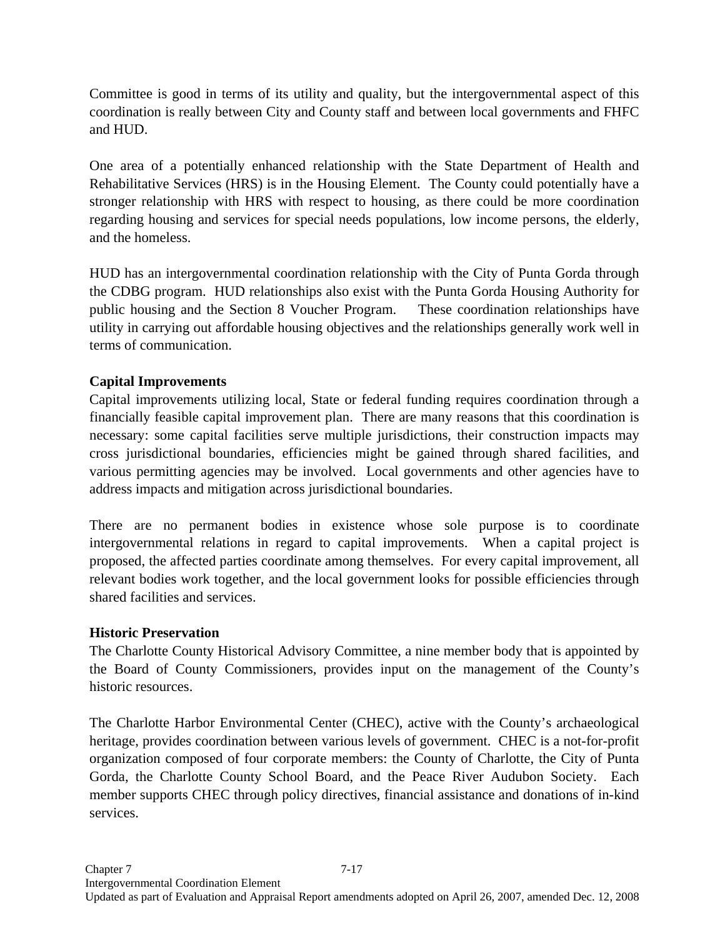Committee is good in terms of its utility and quality, but the intergovernmental aspect of this coordination is really between City and County staff and between local governments and FHFC and HUD.

One area of a potentially enhanced relationship with the State Department of Health and Rehabilitative Services (HRS) is in the Housing Element. The County could potentially have a stronger relationship with HRS with respect to housing, as there could be more coordination regarding housing and services for special needs populations, low income persons, the elderly, and the homeless.

HUD has an intergovernmental coordination relationship with the City of Punta Gorda through the CDBG program. HUD relationships also exist with the Punta Gorda Housing Authority for public housing and the Section 8 Voucher Program. These coordination relationships have utility in carrying out affordable housing objectives and the relationships generally work well in terms of communication.

# **Capital Improvements**

Capital improvements utilizing local, State or federal funding requires coordination through a financially feasible capital improvement plan. There are many reasons that this coordination is necessary: some capital facilities serve multiple jurisdictions, their construction impacts may cross jurisdictional boundaries, efficiencies might be gained through shared facilities, and various permitting agencies may be involved. Local governments and other agencies have to address impacts and mitigation across jurisdictional boundaries.

There are no permanent bodies in existence whose sole purpose is to coordinate intergovernmental relations in regard to capital improvements. When a capital project is proposed, the affected parties coordinate among themselves. For every capital improvement, all relevant bodies work together, and the local government looks for possible efficiencies through shared facilities and services.

## **Historic Preservation**

The Charlotte County Historical Advisory Committee, a nine member body that is appointed by the Board of County Commissioners, provides input on the management of the County's historic resources.

The Charlotte Harbor Environmental Center (CHEC), active with the County's archaeological heritage, provides coordination between various levels of government. CHEC is a not-for-profit organization composed of four corporate members: the County of Charlotte, the City of Punta Gorda, the Charlotte County School Board, and the Peace River Audubon Society. Each member supports CHEC through policy directives, financial assistance and donations of in-kind services.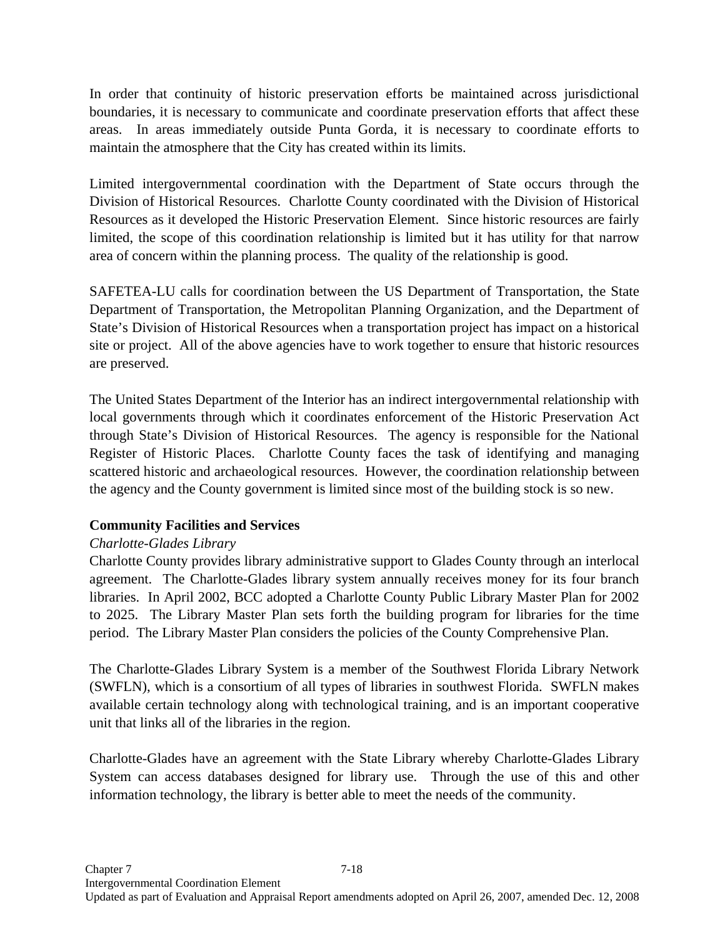In order that continuity of historic preservation efforts be maintained across jurisdictional boundaries, it is necessary to communicate and coordinate preservation efforts that affect these areas. In areas immediately outside Punta Gorda, it is necessary to coordinate efforts to maintain the atmosphere that the City has created within its limits.

Limited intergovernmental coordination with the Department of State occurs through the Division of Historical Resources. Charlotte County coordinated with the Division of Historical Resources as it developed the Historic Preservation Element. Since historic resources are fairly limited, the scope of this coordination relationship is limited but it has utility for that narrow area of concern within the planning process. The quality of the relationship is good.

SAFETEA-LU calls for coordination between the US Department of Transportation, the State Department of Transportation, the Metropolitan Planning Organization, and the Department of State's Division of Historical Resources when a transportation project has impact on a historical site or project. All of the above agencies have to work together to ensure that historic resources are preserved.

The United States Department of the Interior has an indirect intergovernmental relationship with local governments through which it coordinates enforcement of the Historic Preservation Act through State's Division of Historical Resources. The agency is responsible for the National Register of Historic Places. Charlotte County faces the task of identifying and managing scattered historic and archaeological resources. However, the coordination relationship between the agency and the County government is limited since most of the building stock is so new.

## **Community Facilities and Services**

# *Charlotte-Glades Library*

Charlotte County provides library administrative support to Glades County through an interlocal agreement. The Charlotte-Glades library system annually receives money for its four branch libraries. In April 2002, BCC adopted a Charlotte County Public Library Master Plan for 2002 to 2025. The Library Master Plan sets forth the building program for libraries for the time period. The Library Master Plan considers the policies of the County Comprehensive Plan.

The Charlotte-Glades Library System is a member of the Southwest Florida Library Network (SWFLN), which is a consortium of all types of libraries in southwest Florida. SWFLN makes available certain technology along with technological training, and is an important cooperative unit that links all of the libraries in the region.

Charlotte-Glades have an agreement with the State Library whereby Charlotte-Glades Library System can access databases designed for library use. Through the use of this and other information technology, the library is better able to meet the needs of the community.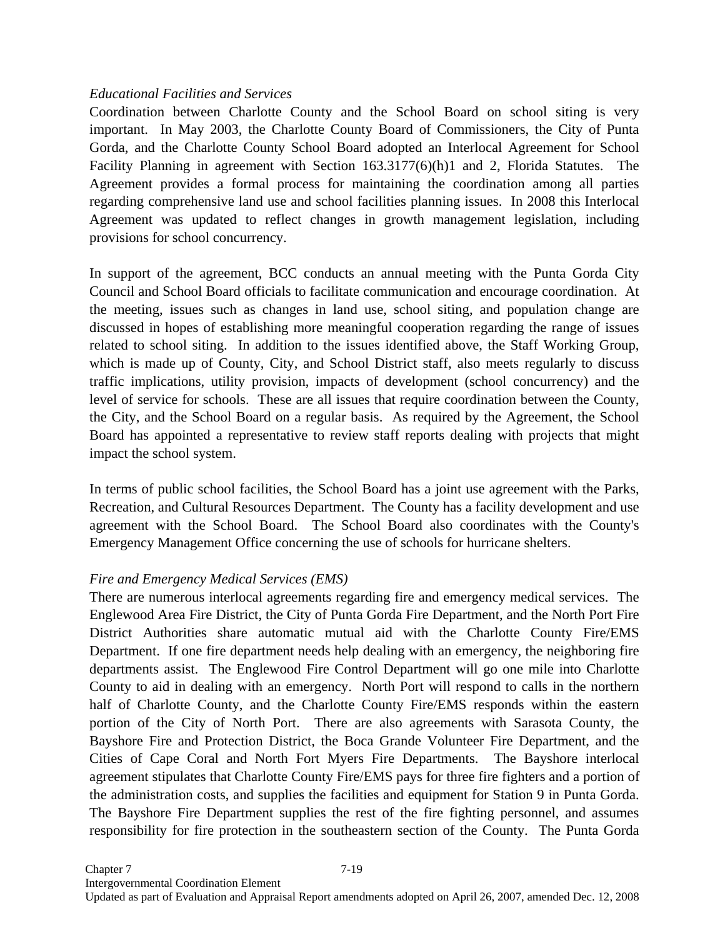## *Educational Facilities and Services*

Coordination between Charlotte County and the School Board on school siting is very important. In May 2003, the Charlotte County Board of Commissioners, the City of Punta Gorda, and the Charlotte County School Board adopted an Interlocal Agreement for School Facility Planning in agreement with Section 163.3177(6)(h)1 and 2, Florida Statutes. The Agreement provides a formal process for maintaining the coordination among all parties regarding comprehensive land use and school facilities planning issues. In 2008 this Interlocal Agreement was updated to reflect changes in growth management legislation, including provisions for school concurrency.

In support of the agreement, BCC conducts an annual meeting with the Punta Gorda City Council and School Board officials to facilitate communication and encourage coordination. At the meeting, issues such as changes in land use, school siting, and population change are discussed in hopes of establishing more meaningful cooperation regarding the range of issues related to school siting. In addition to the issues identified above, the Staff Working Group, which is made up of County, City, and School District staff, also meets regularly to discuss traffic implications, utility provision, impacts of development (school concurrency) and the level of service for schools. These are all issues that require coordination between the County, the City, and the School Board on a regular basis. As required by the Agreement, the School Board has appointed a representative to review staff reports dealing with projects that might impact the school system.

In terms of public school facilities, the School Board has a joint use agreement with the Parks, Recreation, and Cultural Resources Department. The County has a facility development and use agreement with the School Board. The School Board also coordinates with the County's Emergency Management Office concerning the use of schools for hurricane shelters.

### *Fire and Emergency Medical Services (EMS)*

There are numerous interlocal agreements regarding fire and emergency medical services. The Englewood Area Fire District, the City of Punta Gorda Fire Department, and the North Port Fire District Authorities share automatic mutual aid with the Charlotte County Fire/EMS Department. If one fire department needs help dealing with an emergency, the neighboring fire departments assist. The Englewood Fire Control Department will go one mile into Charlotte County to aid in dealing with an emergency. North Port will respond to calls in the northern half of Charlotte County, and the Charlotte County Fire/EMS responds within the eastern portion of the City of North Port. There are also agreements with Sarasota County, the Bayshore Fire and Protection District, the Boca Grande Volunteer Fire Department, and the Cities of Cape Coral and North Fort Myers Fire Departments. The Bayshore interlocal agreement stipulates that Charlotte County Fire/EMS pays for three fire fighters and a portion of the administration costs, and supplies the facilities and equipment for Station 9 in Punta Gorda. The Bayshore Fire Department supplies the rest of the fire fighting personnel, and assumes responsibility for fire protection in the southeastern section of the County. The Punta Gorda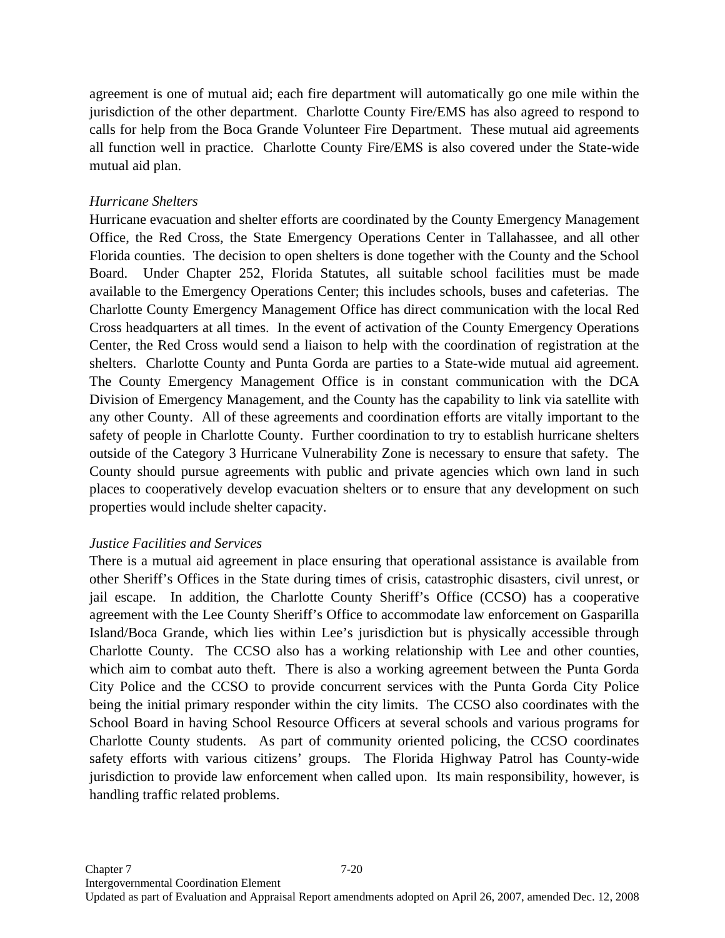agreement is one of mutual aid; each fire department will automatically go one mile within the jurisdiction of the other department. Charlotte County Fire/EMS has also agreed to respond to calls for help from the Boca Grande Volunteer Fire Department. These mutual aid agreements all function well in practice. Charlotte County Fire/EMS is also covered under the State-wide mutual aid plan.

## *Hurricane Shelters*

Hurricane evacuation and shelter efforts are coordinated by the County Emergency Management Office, the Red Cross, the State Emergency Operations Center in Tallahassee, and all other Florida counties. The decision to open shelters is done together with the County and the School Board. Under Chapter 252, Florida Statutes, all suitable school facilities must be made available to the Emergency Operations Center; this includes schools, buses and cafeterias. The Charlotte County Emergency Management Office has direct communication with the local Red Cross headquarters at all times. In the event of activation of the County Emergency Operations Center, the Red Cross would send a liaison to help with the coordination of registration at the shelters. Charlotte County and Punta Gorda are parties to a State-wide mutual aid agreement. The County Emergency Management Office is in constant communication with the DCA Division of Emergency Management, and the County has the capability to link via satellite with any other County. All of these agreements and coordination efforts are vitally important to the safety of people in Charlotte County. Further coordination to try to establish hurricane shelters outside of the Category 3 Hurricane Vulnerability Zone is necessary to ensure that safety. The County should pursue agreements with public and private agencies which own land in such places to cooperatively develop evacuation shelters or to ensure that any development on such properties would include shelter capacity.

## *Justice Facilities and Services*

There is a mutual aid agreement in place ensuring that operational assistance is available from other Sheriff's Offices in the State during times of crisis, catastrophic disasters, civil unrest, or jail escape. In addition, the Charlotte County Sheriff's Office (CCSO) has a cooperative agreement with the Lee County Sheriff's Office to accommodate law enforcement on Gasparilla Island/Boca Grande, which lies within Lee's jurisdiction but is physically accessible through Charlotte County. The CCSO also has a working relationship with Lee and other counties, which aim to combat auto theft. There is also a working agreement between the Punta Gorda City Police and the CCSO to provide concurrent services with the Punta Gorda City Police being the initial primary responder within the city limits. The CCSO also coordinates with the School Board in having School Resource Officers at several schools and various programs for Charlotte County students. As part of community oriented policing, the CCSO coordinates safety efforts with various citizens' groups. The Florida Highway Patrol has County-wide jurisdiction to provide law enforcement when called upon. Its main responsibility, however, is handling traffic related problems.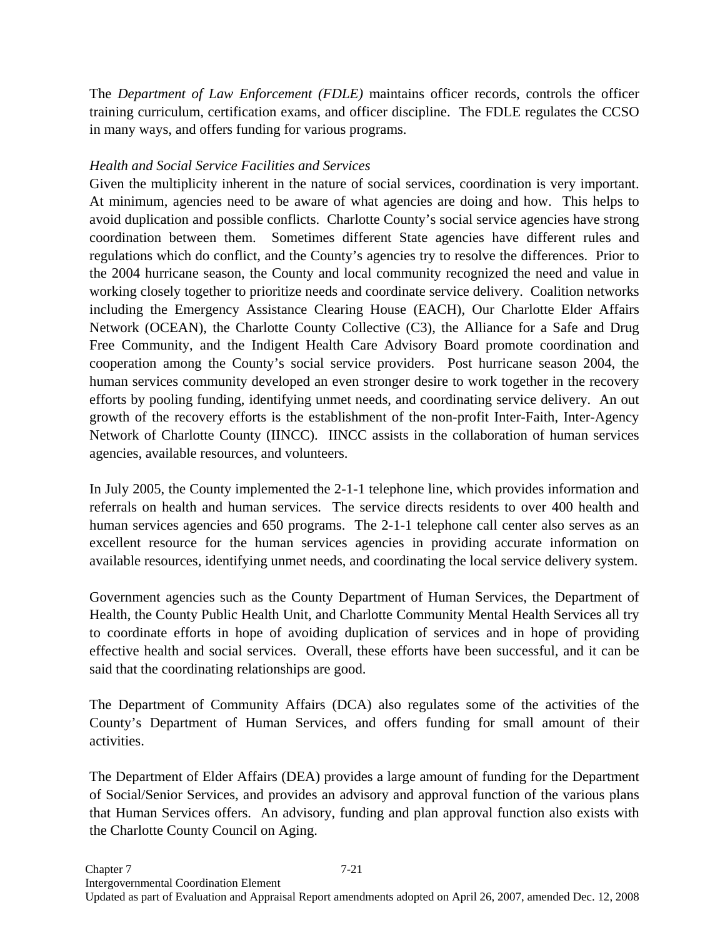The *Department of Law Enforcement (FDLE)* maintains officer records, controls the officer training curriculum, certification exams, and officer discipline. The FDLE regulates the CCSO in many ways, and offers funding for various programs.

## *Health and Social Service Facilities and Services*

Given the multiplicity inherent in the nature of social services, coordination is very important. At minimum, agencies need to be aware of what agencies are doing and how. This helps to avoid duplication and possible conflicts. Charlotte County's social service agencies have strong coordination between them. Sometimes different State agencies have different rules and regulations which do conflict, and the County's agencies try to resolve the differences. Prior to the 2004 hurricane season, the County and local community recognized the need and value in working closely together to prioritize needs and coordinate service delivery. Coalition networks including the Emergency Assistance Clearing House (EACH), Our Charlotte Elder Affairs Network (OCEAN), the Charlotte County Collective (C3), the Alliance for a Safe and Drug Free Community, and the Indigent Health Care Advisory Board promote coordination and cooperation among the County's social service providers. Post hurricane season 2004, the human services community developed an even stronger desire to work together in the recovery efforts by pooling funding, identifying unmet needs, and coordinating service delivery. An out growth of the recovery efforts is the establishment of the non-profit Inter-Faith, Inter-Agency Network of Charlotte County (IINCC). IINCC assists in the collaboration of human services agencies, available resources, and volunteers.

In July 2005, the County implemented the 2-1-1 telephone line, which provides information and referrals on health and human services. The service directs residents to over 400 health and human services agencies and 650 programs. The 2-1-1 telephone call center also serves as an excellent resource for the human services agencies in providing accurate information on available resources, identifying unmet needs, and coordinating the local service delivery system.

Government agencies such as the County Department of Human Services, the Department of Health, the County Public Health Unit, and Charlotte Community Mental Health Services all try to coordinate efforts in hope of avoiding duplication of services and in hope of providing effective health and social services. Overall, these efforts have been successful, and it can be said that the coordinating relationships are good.

The Department of Community Affairs (DCA) also regulates some of the activities of the County's Department of Human Services, and offers funding for small amount of their activities.

The Department of Elder Affairs (DEA) provides a large amount of funding for the Department of Social/Senior Services, and provides an advisory and approval function of the various plans that Human Services offers. An advisory, funding and plan approval function also exists with the Charlotte County Council on Aging.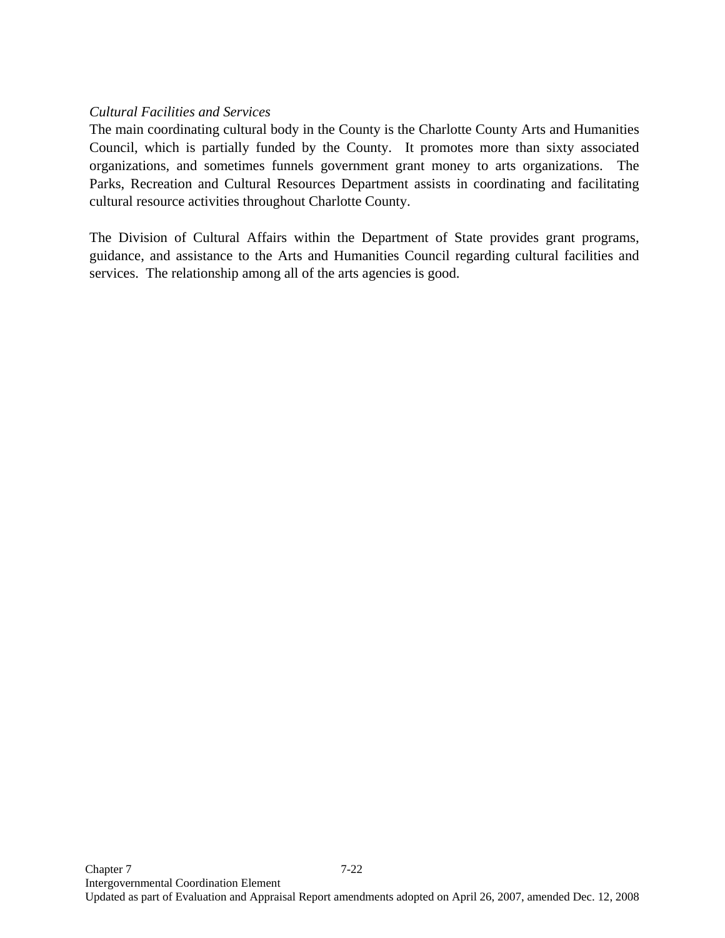## *Cultural Facilities and Services*

The main coordinating cultural body in the County is the Charlotte County Arts and Humanities Council, which is partially funded by the County. It promotes more than sixty associated organizations, and sometimes funnels government grant money to arts organizations. The Parks, Recreation and Cultural Resources Department assists in coordinating and facilitating cultural resource activities throughout Charlotte County.

The Division of Cultural Affairs within the Department of State provides grant programs, guidance, and assistance to the Arts and Humanities Council regarding cultural facilities and services. The relationship among all of the arts agencies is good.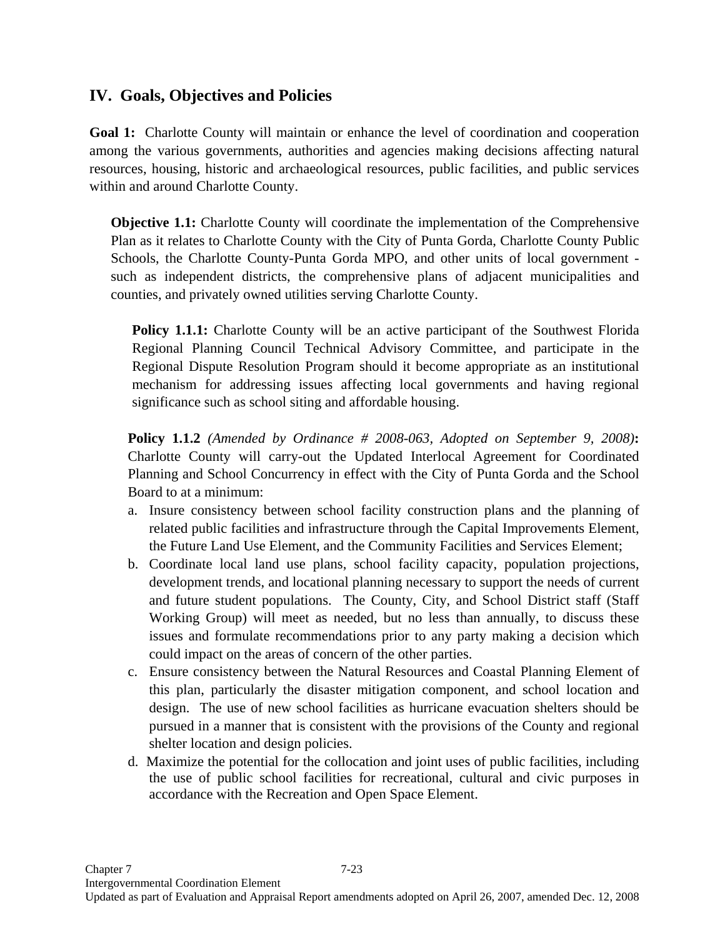# **IV. Goals, Objectives and Policies**

**Goal 1:** Charlotte County will maintain or enhance the level of coordination and cooperation among the various governments, authorities and agencies making decisions affecting natural resources, housing, historic and archaeological resources, public facilities, and public services within and around Charlotte County.

**Objective 1.1:** Charlotte County will coordinate the implementation of the Comprehensive Plan as it relates to Charlotte County with the City of Punta Gorda, Charlotte County Public Schools, the Charlotte County-Punta Gorda MPO, and other units of local government such as independent districts, the comprehensive plans of adjacent municipalities and counties, and privately owned utilities serving Charlotte County.

**Policy 1.1.1:** Charlotte County will be an active participant of the Southwest Florida Regional Planning Council Technical Advisory Committee, and participate in the Regional Dispute Resolution Program should it become appropriate as an institutional mechanism for addressing issues affecting local governments and having regional significance such as school siting and affordable housing.

**Policy 1.1.2** *(Amended by Ordinance # 2008-063, Adopted on September 9, 2008)***:** Charlotte County will carry-out the Updated Interlocal Agreement for Coordinated Planning and School Concurrency in effect with the City of Punta Gorda and the School Board to at a minimum:

- a. Insure consistency between school facility construction plans and the planning of related public facilities and infrastructure through the Capital Improvements Element, the Future Land Use Element, and the Community Facilities and Services Element;
- b. Coordinate local land use plans, school facility capacity, population projections, development trends, and locational planning necessary to support the needs of current and future student populations. The County, City, and School District staff (Staff Working Group) will meet as needed, but no less than annually, to discuss these issues and formulate recommendations prior to any party making a decision which could impact on the areas of concern of the other parties.
- c. Ensure consistency between the Natural Resources and Coastal Planning Element of this plan, particularly the disaster mitigation component, and school location and design. The use of new school facilities as hurricane evacuation shelters should be pursued in a manner that is consistent with the provisions of the County and regional shelter location and design policies.
- d. Maximize the potential for the collocation and joint uses of public facilities, including the use of public school facilities for recreational, cultural and civic purposes in accordance with the Recreation and Open Space Element.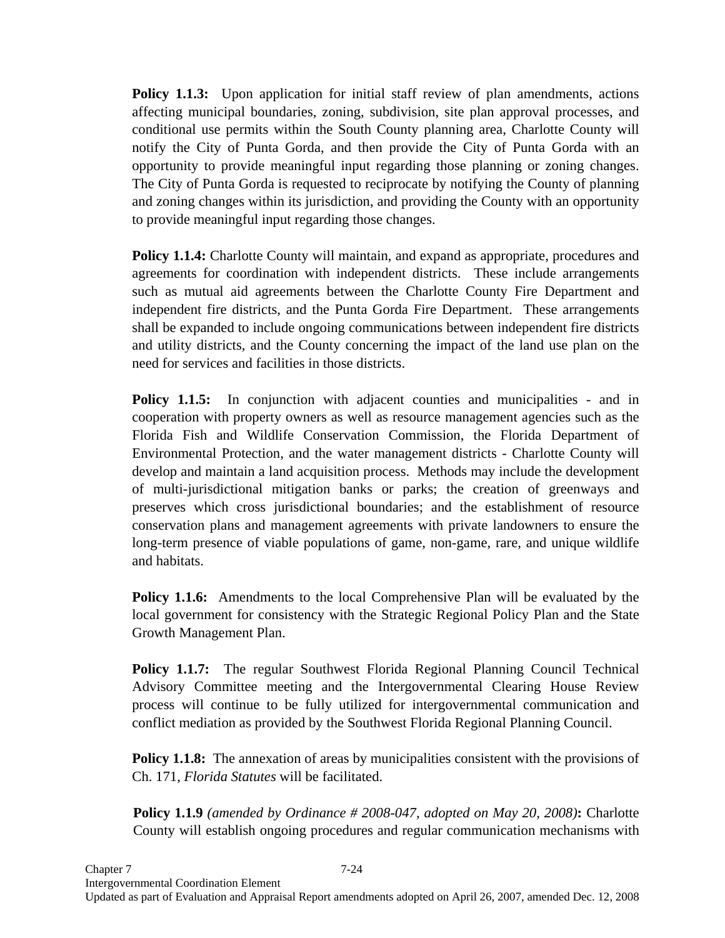**Policy 1.1.3:** Upon application for initial staff review of plan amendments, actions affecting municipal boundaries, zoning, subdivision, site plan approval processes, and conditional use permits within the South County planning area, Charlotte County will notify the City of Punta Gorda, and then provide the City of Punta Gorda with an opportunity to provide meaningful input regarding those planning or zoning changes. The City of Punta Gorda is requested to reciprocate by notifying the County of planning and zoning changes within its jurisdiction, and providing the County with an opportunity to provide meaningful input regarding those changes.

**Policy 1.1.4:** Charlotte County will maintain, and expand as appropriate, procedures and agreements for coordination with independent districts. These include arrangements such as mutual aid agreements between the Charlotte County Fire Department and independent fire districts, and the Punta Gorda Fire Department. These arrangements shall be expanded to include ongoing communications between independent fire districts and utility districts, and the County concerning the impact of the land use plan on the need for services and facilities in those districts.

**Policy 1.1.5:** In conjunction with adjacent counties and municipalities - and in cooperation with property owners as well as resource management agencies such as the Florida Fish and Wildlife Conservation Commission, the Florida Department of Environmental Protection, and the water management districts - Charlotte County will develop and maintain a land acquisition process. Methods may include the development of multi-jurisdictional mitigation banks or parks; the creation of greenways and preserves which cross jurisdictional boundaries; and the establishment of resource conservation plans and management agreements with private landowners to ensure the long-term presence of viable populations of game, non-game, rare, and unique wildlife and habitats.

**Policy 1.1.6:** Amendments to the local Comprehensive Plan will be evaluated by the local government for consistency with the Strategic Regional Policy Plan and the State Growth Management Plan.

**Policy 1.1.7:** The regular Southwest Florida Regional Planning Council Technical Advisory Committee meeting and the Intergovernmental Clearing House Review process will continue to be fully utilized for intergovernmental communication and conflict mediation as provided by the Southwest Florida Regional Planning Council.

**Policy 1.1.8:** The annexation of areas by municipalities consistent with the provisions of Ch. 171, *Florida Statutes* will be facilitated.

**Policy 1.1.9** *(amended by Ordinance # 2008-047, adopted on May 20, 2008)***:** Charlotte County will establish ongoing procedures and regular communication mechanisms with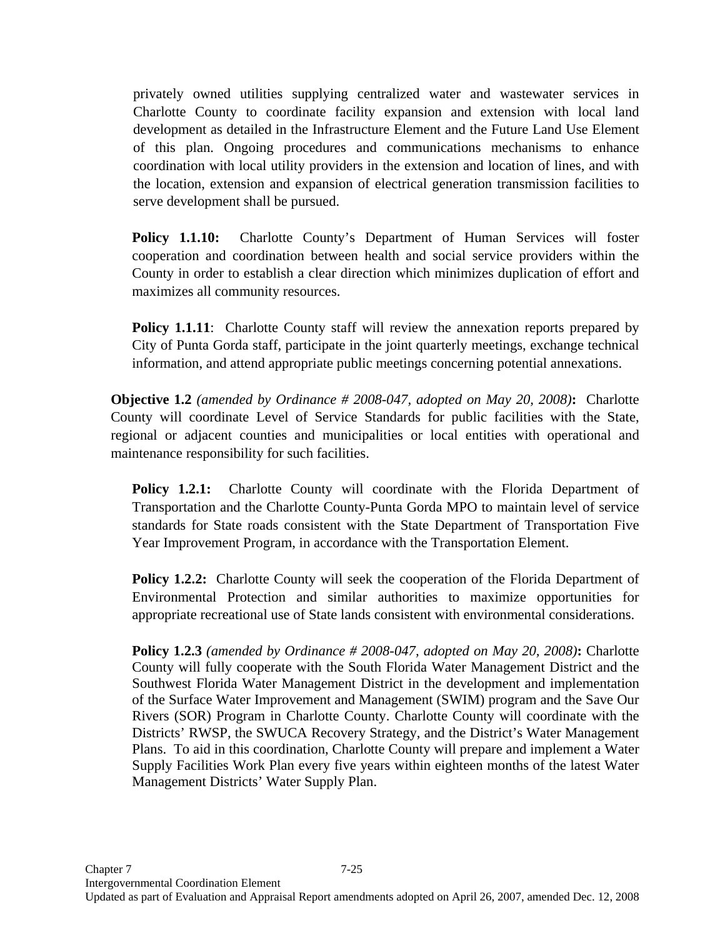privately owned utilities supplying centralized water and wastewater services in Charlotte County to coordinate facility expansion and extension with local land development as detailed in the Infrastructure Element and the Future Land Use Element of this plan. Ongoing procedures and communications mechanisms to enhance coordination with local utility providers in the extension and location of lines, and with the location, extension and expansion of electrical generation transmission facilities to serve development shall be pursued.

**Policy 1.1.10:** Charlotte County's Department of Human Services will foster cooperation and coordination between health and social service providers within the County in order to establish a clear direction which minimizes duplication of effort and maximizes all community resources.

**Policy 1.1.11:** Charlotte County staff will review the annexation reports prepared by City of Punta Gorda staff, participate in the joint quarterly meetings, exchange technical information, and attend appropriate public meetings concerning potential annexations.

**Objective 1.2** *(amended by Ordinance # 2008-047, adopted on May 20, 2008)***:** Charlotte County will coordinate Level of Service Standards for public facilities with the State, regional or adjacent counties and municipalities or local entities with operational and maintenance responsibility for such facilities.

**Policy 1.2.1:** Charlotte County will coordinate with the Florida Department of Transportation and the Charlotte County-Punta Gorda MPO to maintain level of service standards for State roads consistent with the State Department of Transportation Five Year Improvement Program, in accordance with the Transportation Element.

**Policy 1.2.2:** Charlotte County will seek the cooperation of the Florida Department of Environmental Protection and similar authorities to maximize opportunities for appropriate recreational use of State lands consistent with environmental considerations.

**Policy 1.2.3** *(amended by Ordinance # 2008-047, adopted on May 20, 2008)***:** Charlotte County will fully cooperate with the South Florida Water Management District and the Southwest Florida Water Management District in the development and implementation of the Surface Water Improvement and Management (SWIM) program and the Save Our Rivers (SOR) Program in Charlotte County. Charlotte County will coordinate with the Districts' RWSP, the SWUCA Recovery Strategy, and the District's Water Management Plans. To aid in this coordination, Charlotte County will prepare and implement a Water Supply Facilities Work Plan every five years within eighteen months of the latest Water Management Districts' Water Supply Plan.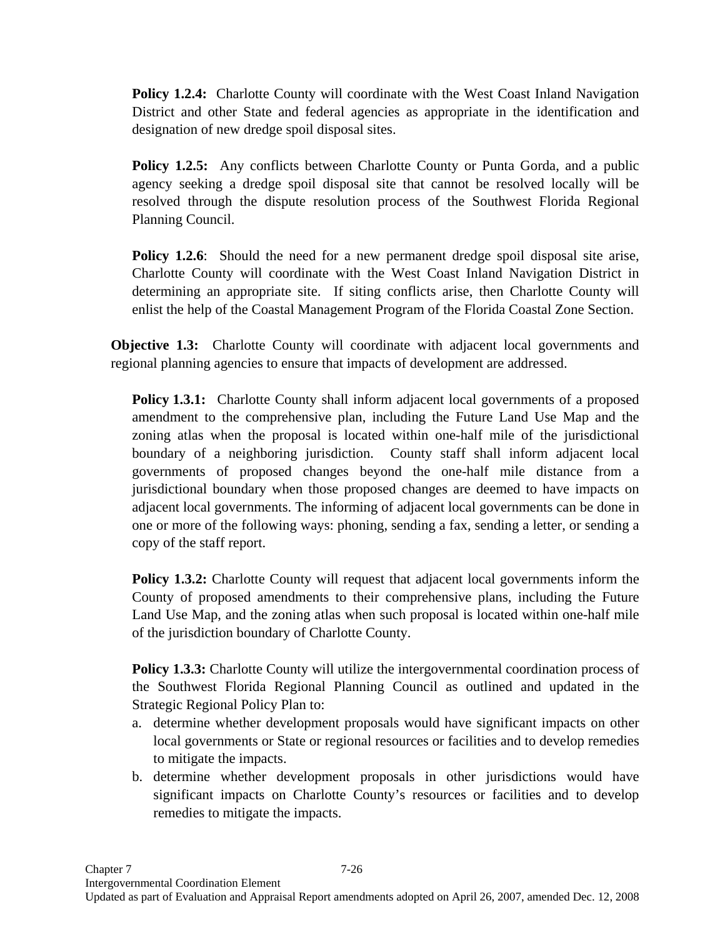**Policy 1.2.4:** Charlotte County will coordinate with the West Coast Inland Navigation District and other State and federal agencies as appropriate in the identification and designation of new dredge spoil disposal sites.

**Policy 1.2.5:** Any conflicts between Charlotte County or Punta Gorda, and a public agency seeking a dredge spoil disposal site that cannot be resolved locally will be resolved through the dispute resolution process of the Southwest Florida Regional Planning Council.

**Policy 1.2.6**: Should the need for a new permanent dredge spoil disposal site arise, Charlotte County will coordinate with the West Coast Inland Navigation District in determining an appropriate site. If siting conflicts arise, then Charlotte County will enlist the help of the Coastal Management Program of the Florida Coastal Zone Section.

**Objective 1.3:** Charlotte County will coordinate with adjacent local governments and regional planning agencies to ensure that impacts of development are addressed.

**Policy 1.3.1:** Charlotte County shall inform adjacent local governments of a proposed amendment to the comprehensive plan, including the Future Land Use Map and the zoning atlas when the proposal is located within one-half mile of the jurisdictional boundary of a neighboring jurisdiction. County staff shall inform adjacent local governments of proposed changes beyond the one-half mile distance from a jurisdictional boundary when those proposed changes are deemed to have impacts on adjacent local governments. The informing of adjacent local governments can be done in one or more of the following ways: phoning, sending a fax, sending a letter, or sending a copy of the staff report.

**Policy 1.3.2:** Charlotte County will request that adjacent local governments inform the County of proposed amendments to their comprehensive plans, including the Future Land Use Map, and the zoning atlas when such proposal is located within one-half mile of the jurisdiction boundary of Charlotte County.

**Policy 1.3.3:** Charlotte County will utilize the intergovernmental coordination process of the Southwest Florida Regional Planning Council as outlined and updated in the Strategic Regional Policy Plan to:

- a. determine whether development proposals would have significant impacts on other local governments or State or regional resources or facilities and to develop remedies to mitigate the impacts.
- b. determine whether development proposals in other jurisdictions would have significant impacts on Charlotte County's resources or facilities and to develop remedies to mitigate the impacts.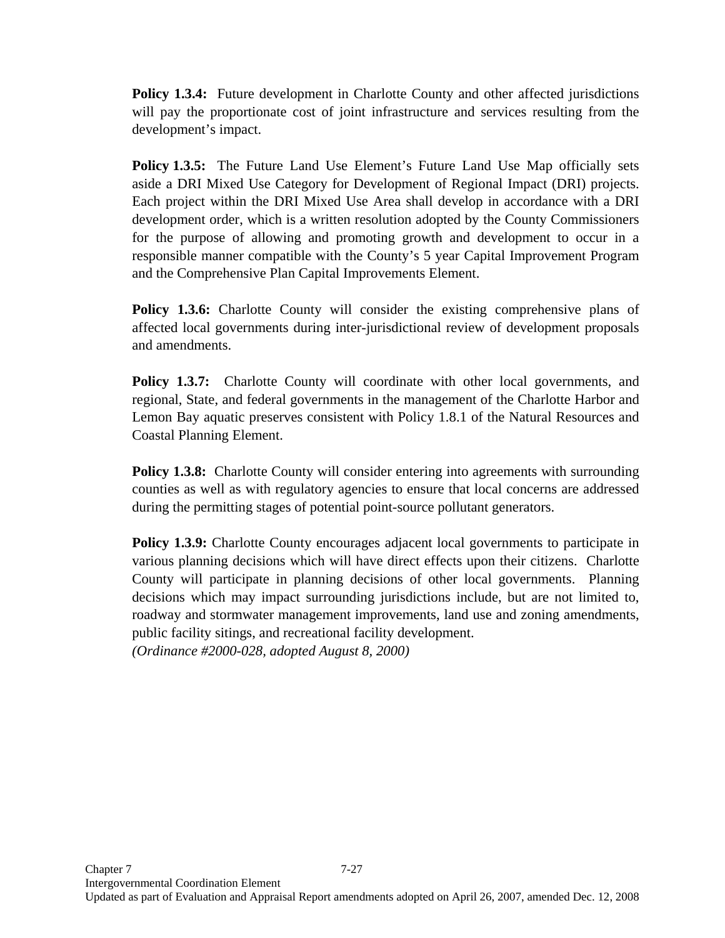**Policy 1.3.4:** Future development in Charlotte County and other affected jurisdictions will pay the proportionate cost of joint infrastructure and services resulting from the development's impact.

**Policy 1.3.5:** The Future Land Use Element's Future Land Use Map officially sets aside a DRI Mixed Use Category for Development of Regional Impact (DRI) projects. Each project within the DRI Mixed Use Area shall develop in accordance with a DRI development order, which is a written resolution adopted by the County Commissioners for the purpose of allowing and promoting growth and development to occur in a responsible manner compatible with the County's 5 year Capital Improvement Program and the Comprehensive Plan Capital Improvements Element.

**Policy 1.3.6:** Charlotte County will consider the existing comprehensive plans of affected local governments during inter-jurisdictional review of development proposals and amendments.

**Policy 1.3.7:** Charlotte County will coordinate with other local governments, and regional, State, and federal governments in the management of the Charlotte Harbor and Lemon Bay aquatic preserves consistent with Policy 1.8.1 of the Natural Resources and Coastal Planning Element.

**Policy 1.3.8:** Charlotte County will consider entering into agreements with surrounding counties as well as with regulatory agencies to ensure that local concerns are addressed during the permitting stages of potential point-source pollutant generators.

**Policy 1.3.9:** Charlotte County encourages adjacent local governments to participate in various planning decisions which will have direct effects upon their citizens. Charlotte County will participate in planning decisions of other local governments. Planning decisions which may impact surrounding jurisdictions include, but are not limited to, roadway and stormwater management improvements, land use and zoning amendments, public facility sitings, and recreational facility development.

*(Ordinance #2000-028, adopted August 8, 2000)*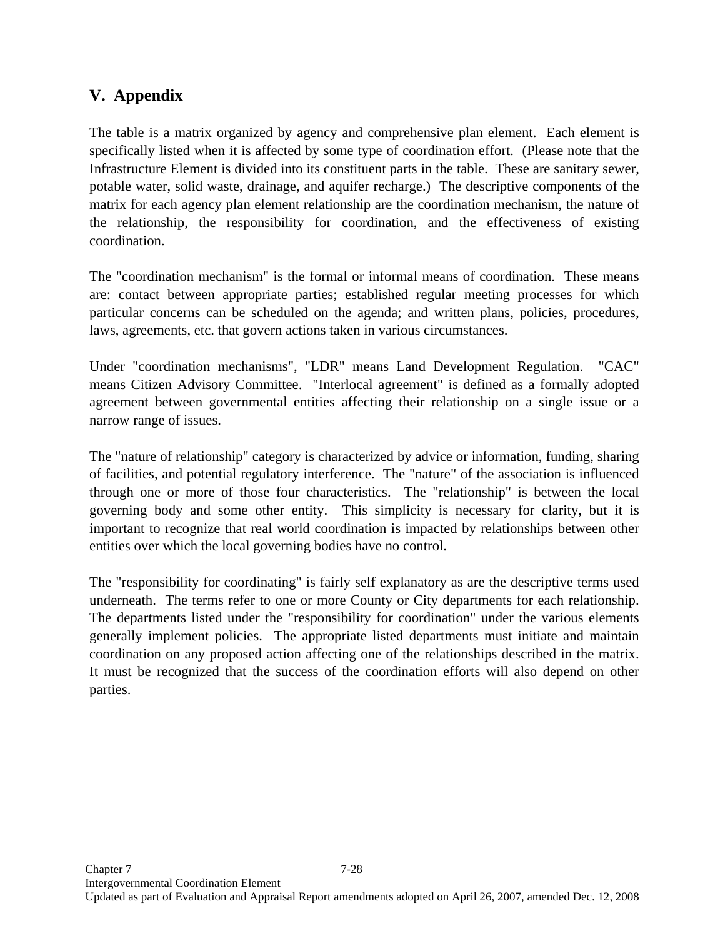# **V. Appendix**

The table is a matrix organized by agency and comprehensive plan element. Each element is specifically listed when it is affected by some type of coordination effort. (Please note that the Infrastructure Element is divided into its constituent parts in the table. These are sanitary sewer, potable water, solid waste, drainage, and aquifer recharge.) The descriptive components of the matrix for each agency plan element relationship are the coordination mechanism, the nature of the relationship, the responsibility for coordination, and the effectiveness of existing coordination.

The "coordination mechanism" is the formal or informal means of coordination. These means are: contact between appropriate parties; established regular meeting processes for which particular concerns can be scheduled on the agenda; and written plans, policies, procedures, laws, agreements, etc. that govern actions taken in various circumstances.

Under "coordination mechanisms", "LDR" means Land Development Regulation. "CAC" means Citizen Advisory Committee. "Interlocal agreement" is defined as a formally adopted agreement between governmental entities affecting their relationship on a single issue or a narrow range of issues.

The "nature of relationship" category is characterized by advice or information, funding, sharing of facilities, and potential regulatory interference. The "nature" of the association is influenced through one or more of those four characteristics. The "relationship" is between the local governing body and some other entity. This simplicity is necessary for clarity, but it is important to recognize that real world coordination is impacted by relationships between other entities over which the local governing bodies have no control.

The "responsibility for coordinating" is fairly self explanatory as are the descriptive terms used underneath. The terms refer to one or more County or City departments for each relationship. The departments listed under the "responsibility for coordination" under the various elements generally implement policies. The appropriate listed departments must initiate and maintain coordination on any proposed action affecting one of the relationships described in the matrix. It must be recognized that the success of the coordination efforts will also depend on other parties.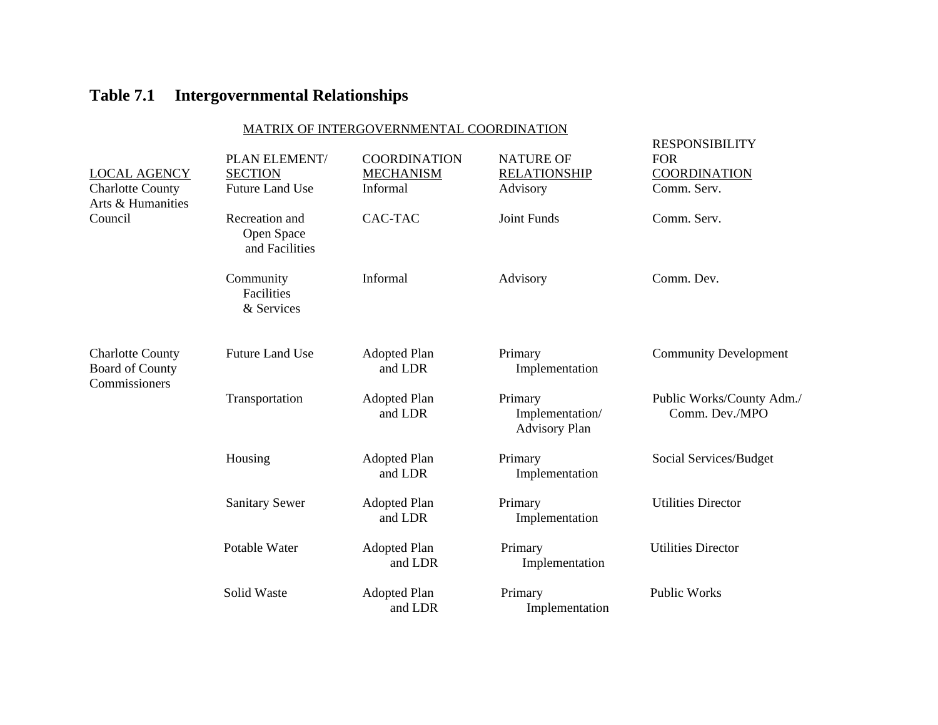### MATRIX OF INTERGOVERNMENTAL COORDINATION

|                                                                    | PLAN ELEMENT/                                  | <b>COORDINATION</b>            | <b>NATURE OF</b>                                   | <b>RESPONSIBILITY</b><br><b>FOR</b>         |
|--------------------------------------------------------------------|------------------------------------------------|--------------------------------|----------------------------------------------------|---------------------------------------------|
| <b>LOCAL AGENCY</b>                                                | <b>SECTION</b>                                 | <b>MECHANISM</b>               | <b>RELATIONSHIP</b>                                | <b>COORDINATION</b>                         |
| <b>Charlotte County</b><br>Arts & Humanities                       | <b>Future Land Use</b>                         | Informal                       | Advisory                                           | Comm. Serv.                                 |
| Council                                                            | Recreation and<br>Open Space<br>and Facilities | CAC-TAC                        | Joint Funds                                        | Comm. Serv.                                 |
|                                                                    | Community<br>Facilities<br>& Services          | Informal                       | Advisory                                           | Comm. Dev.                                  |
| <b>Charlotte County</b><br><b>Board of County</b><br>Commissioners | <b>Future Land Use</b>                         | <b>Adopted Plan</b><br>and LDR | Primary<br>Implementation                          | <b>Community Development</b>                |
|                                                                    | Transportation                                 | <b>Adopted Plan</b><br>and LDR | Primary<br>Implementation/<br><b>Advisory Plan</b> | Public Works/County Adm./<br>Comm. Dev./MPO |
|                                                                    | Housing                                        | <b>Adopted Plan</b><br>and LDR | Primary<br>Implementation                          | Social Services/Budget                      |
|                                                                    | <b>Sanitary Sewer</b>                          | <b>Adopted Plan</b><br>and LDR | Primary<br>Implementation                          | <b>Utilities Director</b>                   |
|                                                                    | Potable Water                                  | <b>Adopted Plan</b><br>and LDR | Primary<br>Implementation                          | <b>Utilities Director</b>                   |
|                                                                    | Solid Waste                                    | <b>Adopted Plan</b><br>and LDR | Primary<br>Implementation                          | <b>Public Works</b>                         |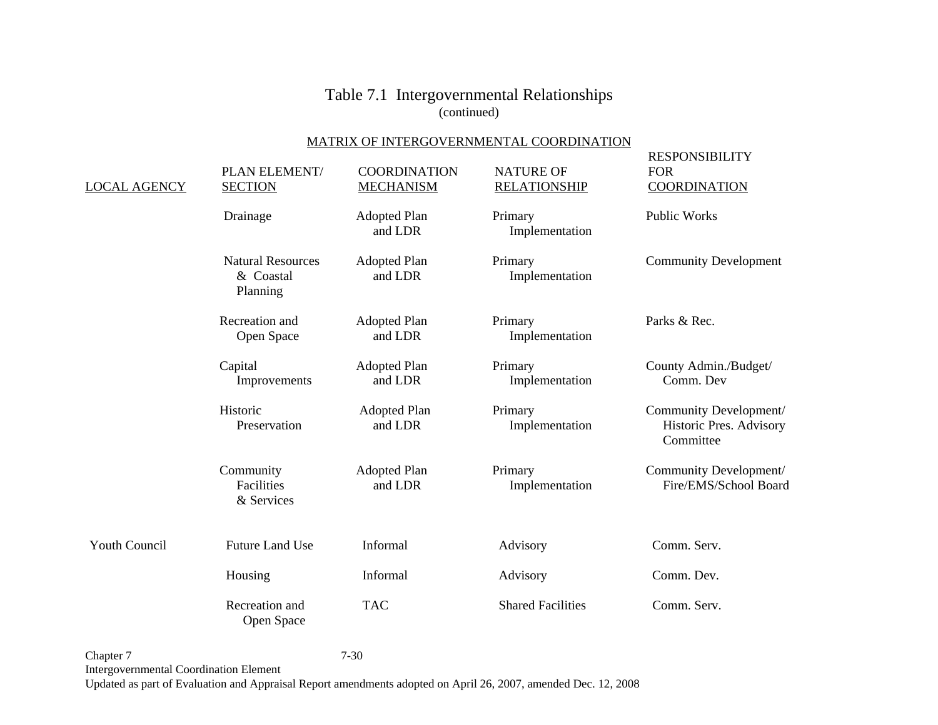#### MATRIX OF INTERGOVERNMENTAL COORDINATION

| <b>LOCAL AGENCY</b>  | PLAN ELEMENT/<br><b>SECTION</b>                   | <b>COORDINATION</b><br><b>MECHANISM</b> | <b>NATURE OF</b><br><b>RELATIONSHIP</b> | <b>RESPONSIBILITY</b><br><b>FOR</b><br><b>COORDINATION</b>     |
|----------------------|---------------------------------------------------|-----------------------------------------|-----------------------------------------|----------------------------------------------------------------|
|                      | Drainage                                          | <b>Adopted Plan</b><br>and LDR          | Primary<br>Implementation               | <b>Public Works</b>                                            |
|                      | <b>Natural Resources</b><br>& Coastal<br>Planning | <b>Adopted Plan</b><br>and LDR          | Primary<br>Implementation               | <b>Community Development</b>                                   |
|                      | Recreation and<br>Open Space                      | <b>Adopted Plan</b><br>and LDR          | Primary<br>Implementation               | Parks & Rec.                                                   |
|                      | Capital<br>Improvements                           | <b>Adopted Plan</b><br>and LDR          | Primary<br>Implementation               | County Admin./Budget/<br>Comm. Dev                             |
|                      | Historic<br>Preservation                          | <b>Adopted Plan</b><br>and LDR          | Primary<br>Implementation               | Community Development/<br>Historic Pres. Advisory<br>Committee |
|                      | Community<br>Facilities<br>& Services             | <b>Adopted Plan</b><br>and LDR          | Primary<br>Implementation               | Community Development/<br>Fire/EMS/School Board                |
| <b>Youth Council</b> | <b>Future Land Use</b>                            | Informal                                | Advisory                                | Comm. Serv.                                                    |
|                      | Housing                                           | Informal                                | Advisory                                | Comm. Dev.                                                     |
|                      | Recreation and<br>Open Space                      | <b>TAC</b>                              | <b>Shared Facilities</b>                | Comm. Serv.                                                    |

Chapter 7 7-30 Intergovernmental Coordination Element Updated as part of Evaluation and Appraisal Report amendments adopted on April 26, 2007, amended Dec. 12, 2008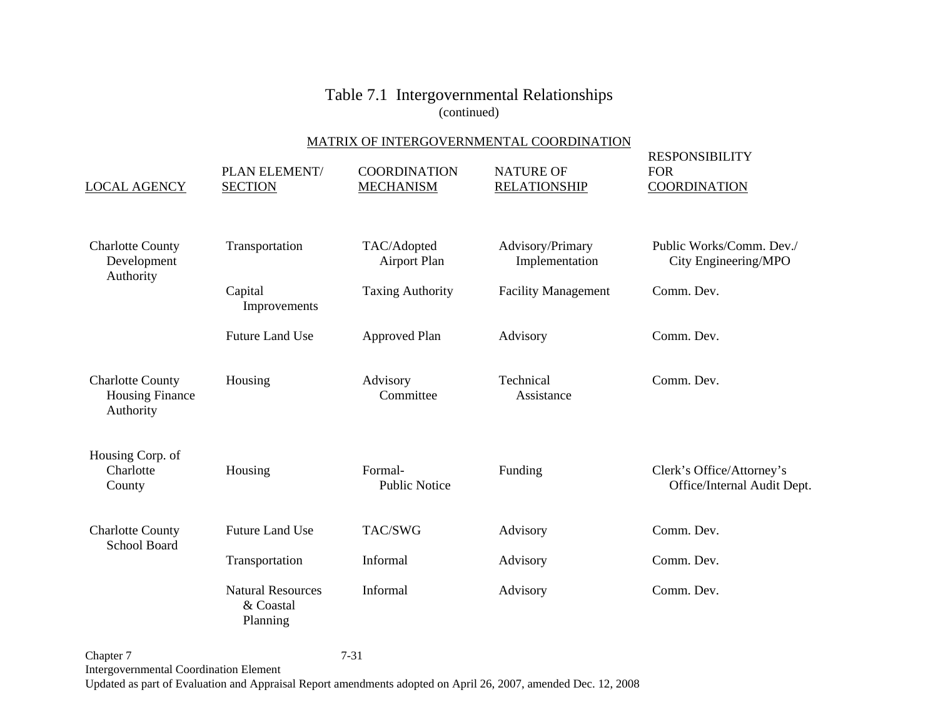#### MATRIX OF INTERGOVERNMENTAL COORDINATION

| <b>LOCAL AGENCY</b>                                            | PLAN ELEMENT/<br><b>SECTION</b>                   | <b>COORDINATION</b><br><b>MECHANISM</b> | <b>NATURE OF</b><br><b>RELATIONSHIP</b> | <b>RESPONSIBILITY</b><br><b>FOR</b><br><b>COORDINATION</b> |
|----------------------------------------------------------------|---------------------------------------------------|-----------------------------------------|-----------------------------------------|------------------------------------------------------------|
| <b>Charlotte County</b><br>Development<br>Authority            | Transportation                                    | TAC/Adopted<br><b>Airport Plan</b>      | Advisory/Primary<br>Implementation      | Public Works/Comm. Dev./<br>City Engineering/MPO           |
|                                                                | Capital<br>Improvements                           | <b>Taxing Authority</b>                 | <b>Facility Management</b>              | Comm. Dev.                                                 |
|                                                                | <b>Future Land Use</b>                            | <b>Approved Plan</b>                    | Advisory                                | Comm. Dev.                                                 |
| <b>Charlotte County</b><br><b>Housing Finance</b><br>Authority | Housing                                           | Advisory<br>Committee                   | Technical<br>Assistance                 | Comm. Dev.                                                 |
| Housing Corp. of<br>Charlotte<br>County                        | Housing                                           | Formal-<br><b>Public Notice</b>         | Funding                                 | Clerk's Office/Attorney's<br>Office/Internal Audit Dept.   |
| <b>Charlotte County</b><br><b>School Board</b>                 | <b>Future Land Use</b>                            | TAC/SWG                                 | Advisory                                | Comm. Dev.                                                 |
|                                                                | Transportation                                    | Informal                                | Advisory                                | Comm. Dev.                                                 |
|                                                                | <b>Natural Resources</b><br>& Coastal<br>Planning | Informal                                | Advisory                                | Comm. Dev.                                                 |

Chapter 7 7-31 Intergovernmental Coordination Element Updated as part of Evaluation and Appraisal Report amendments adopted on April 26, 2007, amended Dec. 12, 2008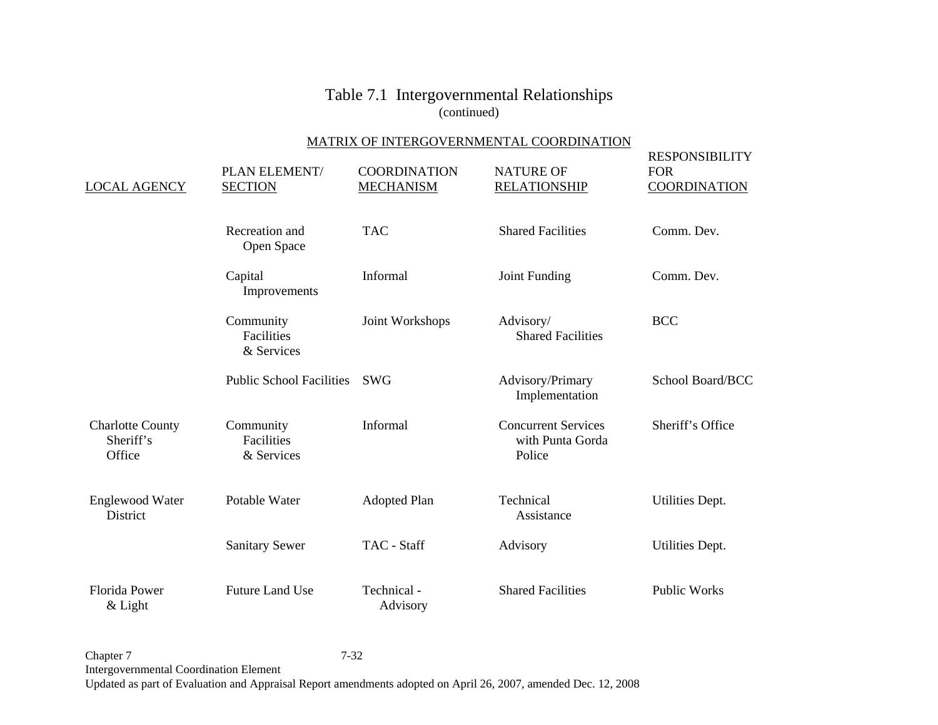#### MATRIX OF INTERGOVERNMENTAL COORDINATION

| <b>LOCAL AGENCY</b>                            | PLAN ELEMENT/<br><b>SECTION</b>       | <b>COORDINATION</b><br><b>MECHANISM</b> | <b>NATURE OF</b><br><b>RELATIONSHIP</b>                  | <b>RESPONSIBILITY</b><br><b>FOR</b><br><b>COORDINATION</b> |
|------------------------------------------------|---------------------------------------|-----------------------------------------|----------------------------------------------------------|------------------------------------------------------------|
|                                                | Recreation and<br>Open Space          | <b>TAC</b>                              | <b>Shared Facilities</b>                                 | Comm. Dev.                                                 |
|                                                | Capital<br>Improvements               | Informal                                | Joint Funding                                            | Comm. Dev.                                                 |
|                                                | Community<br>Facilities<br>& Services | Joint Workshops                         | Advisory/<br><b>Shared Facilities</b>                    | <b>BCC</b>                                                 |
|                                                | <b>Public School Facilities</b>       | <b>SWG</b>                              | Advisory/Primary<br>Implementation                       | School Board/BCC                                           |
| <b>Charlotte County</b><br>Sheriff's<br>Office | Community<br>Facilities<br>& Services | Informal                                | <b>Concurrent Services</b><br>with Punta Gorda<br>Police | Sheriff's Office                                           |
| <b>Englewood Water</b><br>District             | Potable Water                         | <b>Adopted Plan</b>                     | Technical<br>Assistance                                  | Utilities Dept.                                            |
|                                                | <b>Sanitary Sewer</b>                 | TAC - Staff                             | Advisory                                                 | Utilities Dept.                                            |
| <b>Florida Power</b><br>& Light                | <b>Future Land Use</b>                | Technical -<br>Advisory                 | <b>Shared Facilities</b>                                 | <b>Public Works</b>                                        |

Chapter 7 7-32 Intergovernmental Coordination Element Updated as part of Evaluation and Appraisal Report amendments adopted on April 26, 2007, amended Dec. 12, 2008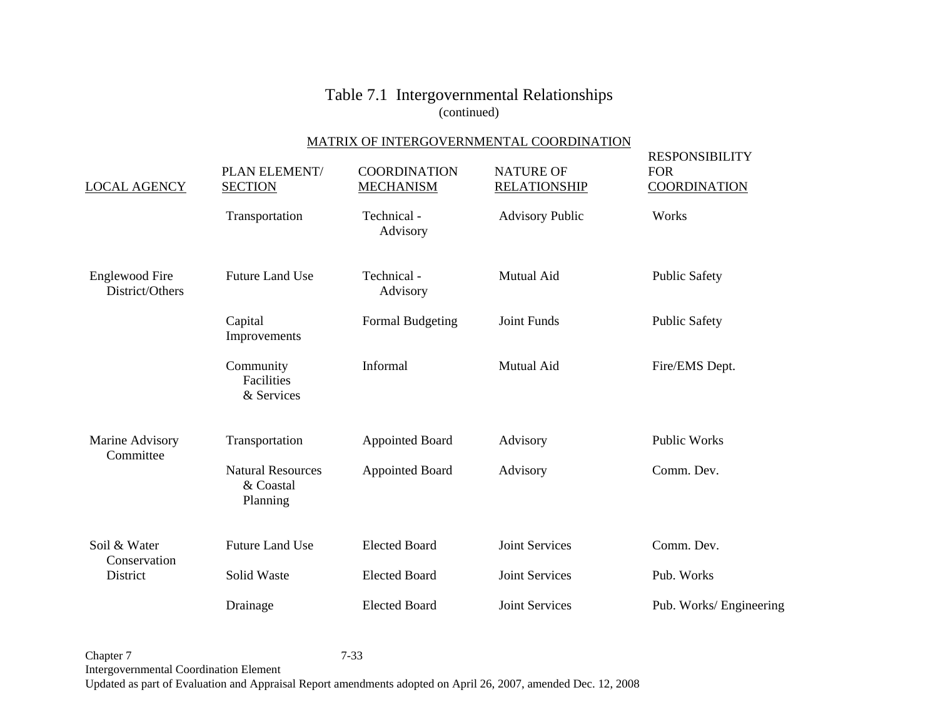### MATRIX OF INTERGOVERNMENTAL COORDINATION

| <b>LOCAL AGENCY</b>                      | PLAN ELEMENT/<br><b>SECTION</b>                   | <b>COORDINATION</b><br><b>MECHANISM</b> | <b>NATURE OF</b><br><b>RELATIONSHIP</b> | <b>RESPONSIBILITY</b><br><b>FOR</b><br><b>COORDINATION</b> |
|------------------------------------------|---------------------------------------------------|-----------------------------------------|-----------------------------------------|------------------------------------------------------------|
|                                          | Transportation                                    | Technical -<br>Advisory                 | <b>Advisory Public</b>                  | Works                                                      |
| <b>Englewood Fire</b><br>District/Others | <b>Future Land Use</b>                            | Technical -<br>Advisory                 | Mutual Aid                              | <b>Public Safety</b>                                       |
|                                          | Capital<br>Improvements                           | Formal Budgeting                        | Joint Funds                             | <b>Public Safety</b>                                       |
|                                          | Community<br><b>Facilities</b><br>& Services      | Informal                                | <b>Mutual Aid</b>                       | Fire/EMS Dept.                                             |
| Marine Advisory<br>Committee             | Transportation                                    | <b>Appointed Board</b>                  | Advisory                                | <b>Public Works</b>                                        |
|                                          | <b>Natural Resources</b><br>& Coastal<br>Planning | <b>Appointed Board</b>                  | Advisory                                | Comm. Dev.                                                 |
| Soil & Water<br>Conservation             | <b>Future Land Use</b>                            | <b>Elected Board</b>                    | <b>Joint Services</b>                   | Comm. Dev.                                                 |
| District                                 | Solid Waste                                       | <b>Elected Board</b>                    | <b>Joint Services</b>                   | Pub. Works                                                 |
|                                          | Drainage                                          | <b>Elected Board</b>                    | <b>Joint Services</b>                   | Pub. Works/Engineering                                     |

Chapter 7 7-33 Intergovernmental Coordination Element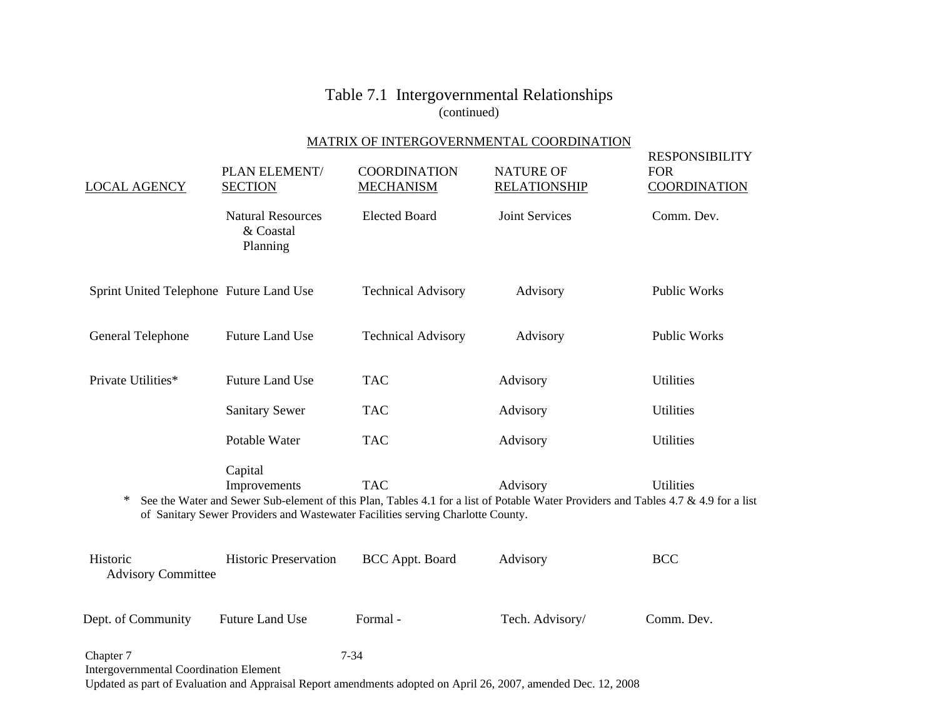### MATRIX OF INTERGOVERNMENTAL COORDINATION

| <b>LOCAL AGENCY</b>                                        | PLAN ELEMENT/<br><b>SECTION</b>                   | <b>COORDINATION</b><br><b>MECHANISM</b>                                                       | <b>NATURE OF</b><br><b>RELATIONSHIP</b>                                                                                                        | <b>RESPONSIBILITY</b><br><b>FOR</b><br><b>COORDINATION</b> |
|------------------------------------------------------------|---------------------------------------------------|-----------------------------------------------------------------------------------------------|------------------------------------------------------------------------------------------------------------------------------------------------|------------------------------------------------------------|
|                                                            | <b>Natural Resources</b><br>& Coastal<br>Planning | <b>Elected Board</b>                                                                          | <b>Joint Services</b>                                                                                                                          | Comm. Dev.                                                 |
| Sprint United Telephone Future Land Use                    |                                                   | <b>Technical Advisory</b>                                                                     | Advisory                                                                                                                                       | <b>Public Works</b>                                        |
| General Telephone                                          | <b>Future Land Use</b>                            | <b>Technical Advisory</b>                                                                     | Advisory                                                                                                                                       | <b>Public Works</b>                                        |
| Private Utilities*                                         | <b>Future Land Use</b>                            | <b>TAC</b>                                                                                    | Advisory                                                                                                                                       | Utilities                                                  |
|                                                            | <b>Sanitary Sewer</b>                             | <b>TAC</b>                                                                                    | Advisory                                                                                                                                       | <b>Utilities</b>                                           |
|                                                            | Potable Water                                     | <b>TAC</b>                                                                                    | Advisory                                                                                                                                       | <b>Utilities</b>                                           |
| ∗                                                          | Capital<br>Improvements                           | <b>TAC</b><br>of Sanitary Sewer Providers and Wastewater Facilities serving Charlotte County. | Advisory<br>See the Water and Sewer Sub-element of this Plan, Tables 4.1 for a list of Potable Water Providers and Tables 4.7 & 4.9 for a list | Utilities                                                  |
| Historic<br><b>Advisory Committee</b>                      | <b>Historic Preservation</b>                      | BCC Appt. Board                                                                               | Advisory                                                                                                                                       | <b>BCC</b>                                                 |
| Dept. of Community                                         | <b>Future Land Use</b>                            | Formal-                                                                                       | Tech. Advisory/                                                                                                                                | Comm. Dev.                                                 |
| Chapter 7<br><b>Intergovernmental Coordination Element</b> |                                                   | $7 - 34$                                                                                      |                                                                                                                                                |                                                            |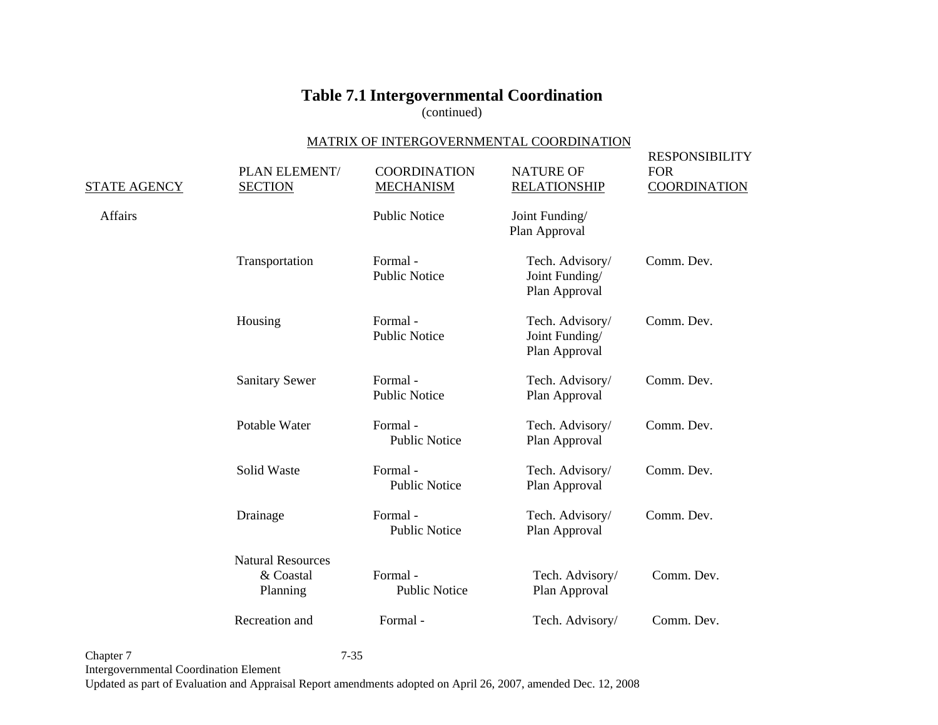(continued)

#### MATRIX OF INTERGOVERNMENTAL COORDINATION

| <b>STATE AGENCY</b> | PLAN ELEMENT/<br><b>SECTION</b>                   | <b>COORDINATION</b><br><b>MECHANISM</b> | <b>NATURE OF</b><br><b>RELATIONSHIP</b>            | <b>RESPONSIBILITY</b><br><b>FOR</b><br><b>COORDINATION</b> |
|---------------------|---------------------------------------------------|-----------------------------------------|----------------------------------------------------|------------------------------------------------------------|
| Affairs             |                                                   | <b>Public Notice</b>                    | Joint Funding/<br>Plan Approval                    |                                                            |
|                     | Transportation                                    | Formal-<br><b>Public Notice</b>         | Tech. Advisory/<br>Joint Funding/<br>Plan Approval | Comm. Dev.                                                 |
|                     | Housing                                           | Formal-<br><b>Public Notice</b>         | Tech. Advisory/<br>Joint Funding/<br>Plan Approval | Comm. Dev.                                                 |
|                     | <b>Sanitary Sewer</b>                             | Formal-<br><b>Public Notice</b>         | Tech. Advisory/<br>Plan Approval                   | Comm. Dev.                                                 |
|                     | Potable Water                                     | Formal-<br><b>Public Notice</b>         | Tech. Advisory/<br>Plan Approval                   | Comm. Dev.                                                 |
|                     | Solid Waste                                       | Formal-<br><b>Public Notice</b>         | Tech. Advisory/<br>Plan Approval                   | Comm. Dev.                                                 |
|                     | Drainage                                          | Formal-<br><b>Public Notice</b>         | Tech. Advisory/<br>Plan Approval                   | Comm. Dev.                                                 |
|                     | <b>Natural Resources</b><br>& Coastal<br>Planning | Formal-<br><b>Public Notice</b>         | Tech. Advisory/<br>Plan Approval                   | Comm. Dev.                                                 |
|                     | Recreation and                                    | Formal-                                 | Tech. Advisory/                                    | Comm. Dev.                                                 |

Chapter 7 7-35 Intergovernmental Coordination Element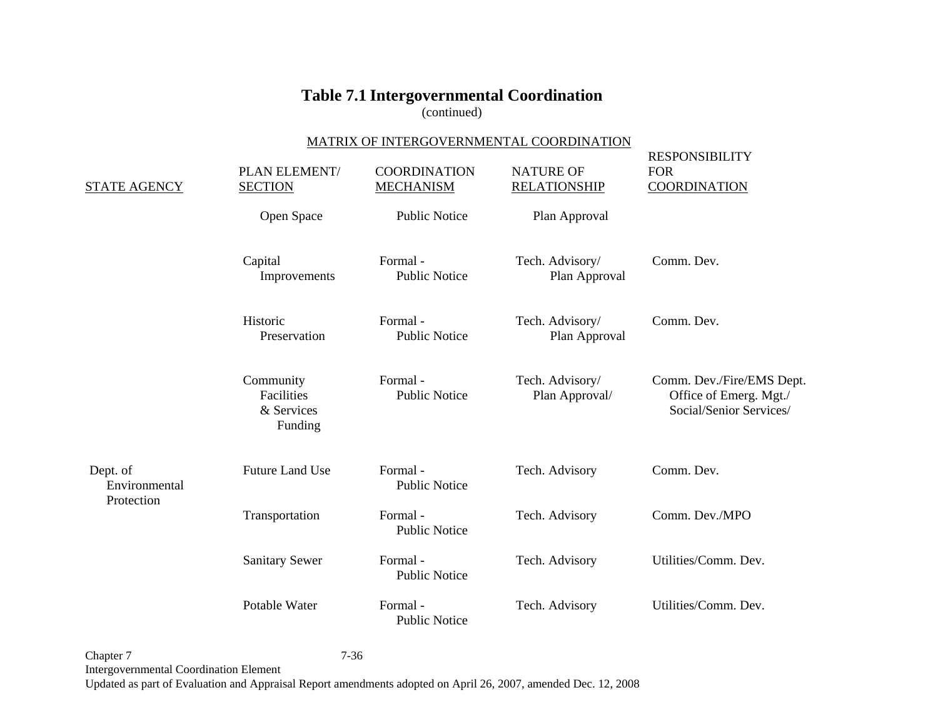(continued)

#### MATRIX OF INTERGOVERNMENTAL COORDINATION

| <b>STATE AGENCY</b>                     | PLAN ELEMENT/<br><b>SECTION</b>                  | <b>COORDINATION</b><br><b>MECHANISM</b> | <b>NATURE OF</b><br><b>RELATIONSHIP</b> | <b>RESPONSIBILITY</b><br><b>FOR</b><br><b>COORDINATION</b>                     |
|-----------------------------------------|--------------------------------------------------|-----------------------------------------|-----------------------------------------|--------------------------------------------------------------------------------|
|                                         | Open Space                                       | <b>Public Notice</b>                    | Plan Approval                           |                                                                                |
|                                         | Capital<br>Improvements                          | Formal-<br><b>Public Notice</b>         | Tech. Advisory/<br>Plan Approval        | Comm. Dev.                                                                     |
|                                         | Historic<br>Preservation                         | Formal-<br><b>Public Notice</b>         | Tech. Advisory/<br>Plan Approval        | Comm. Dev.                                                                     |
|                                         | Community<br>Facilities<br>& Services<br>Funding | Formal-<br><b>Public Notice</b>         | Tech. Advisory/<br>Plan Approval/       | Comm. Dev./Fire/EMS Dept.<br>Office of Emerg. Mgt./<br>Social/Senior Services/ |
| Dept. of<br>Environmental<br>Protection | <b>Future Land Use</b>                           | Formal-<br><b>Public Notice</b>         | Tech. Advisory                          | Comm. Dev.                                                                     |
|                                         | Transportation                                   | Formal-<br><b>Public Notice</b>         | Tech. Advisory                          | Comm. Dev./MPO                                                                 |
|                                         | <b>Sanitary Sewer</b>                            | Formal-<br><b>Public Notice</b>         | Tech. Advisory                          | Utilities/Comm. Dev.                                                           |
|                                         | Potable Water                                    | Formal-<br><b>Public Notice</b>         | Tech. Advisory                          | Utilities/Comm. Dev.                                                           |

Chapter 7 7-36 Intergovernmental Coordination Element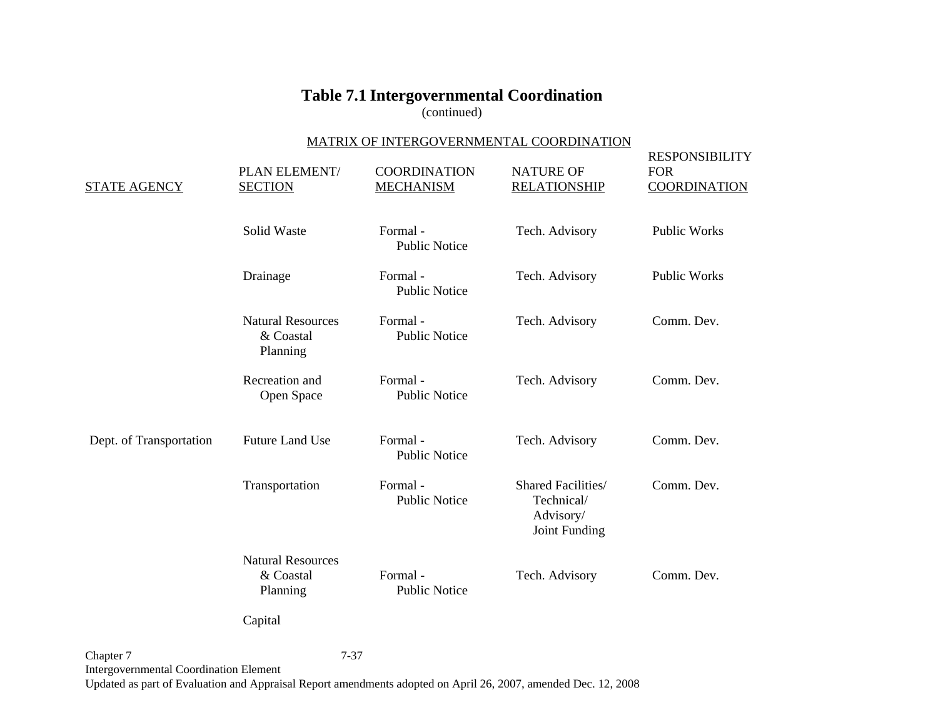(continued)

#### MATRIX OF INTERGOVERNMENTAL COORDINATION

| <b>STATE AGENCY</b>     | PLAN ELEMENT/<br><b>SECTION</b>                   | <b>COORDINATION</b><br><b>MECHANISM</b> | <b>NATURE OF</b><br><b>RELATIONSHIP</b>                        | <b>RESPONSIBILITY</b><br><b>FOR</b><br><b>COORDINATION</b> |
|-------------------------|---------------------------------------------------|-----------------------------------------|----------------------------------------------------------------|------------------------------------------------------------|
|                         | Solid Waste                                       | Formal-<br><b>Public Notice</b>         | Tech. Advisory                                                 | <b>Public Works</b>                                        |
|                         | Drainage                                          | Formal-<br><b>Public Notice</b>         | Tech. Advisory                                                 | Public Works                                               |
|                         | <b>Natural Resources</b><br>& Coastal<br>Planning | Formal-<br><b>Public Notice</b>         | Tech. Advisory                                                 | Comm. Dev.                                                 |
|                         | Recreation and<br>Open Space                      | Formal-<br><b>Public Notice</b>         | Tech. Advisory                                                 | Comm. Dev.                                                 |
| Dept. of Transportation | <b>Future Land Use</b>                            | Formal-<br><b>Public Notice</b>         | Tech. Advisory                                                 | Comm. Dev.                                                 |
|                         | Transportation                                    | Formal-<br><b>Public Notice</b>         | Shared Facilities/<br>Technical/<br>Advisory/<br>Joint Funding | Comm. Dev.                                                 |
|                         | <b>Natural Resources</b><br>& Coastal<br>Planning | Formal-<br><b>Public Notice</b>         | Tech. Advisory                                                 | Comm. Dev.                                                 |
|                         | Capital                                           |                                         |                                                                |                                                            |
|                         |                                                   |                                         |                                                                |                                                            |

Chapter 7 7-37 Intergovernmental Coordination Element Updated as part of Evaluation and Appraisal Report amendments adopted on April 26, 2007, amended Dec. 12, 2008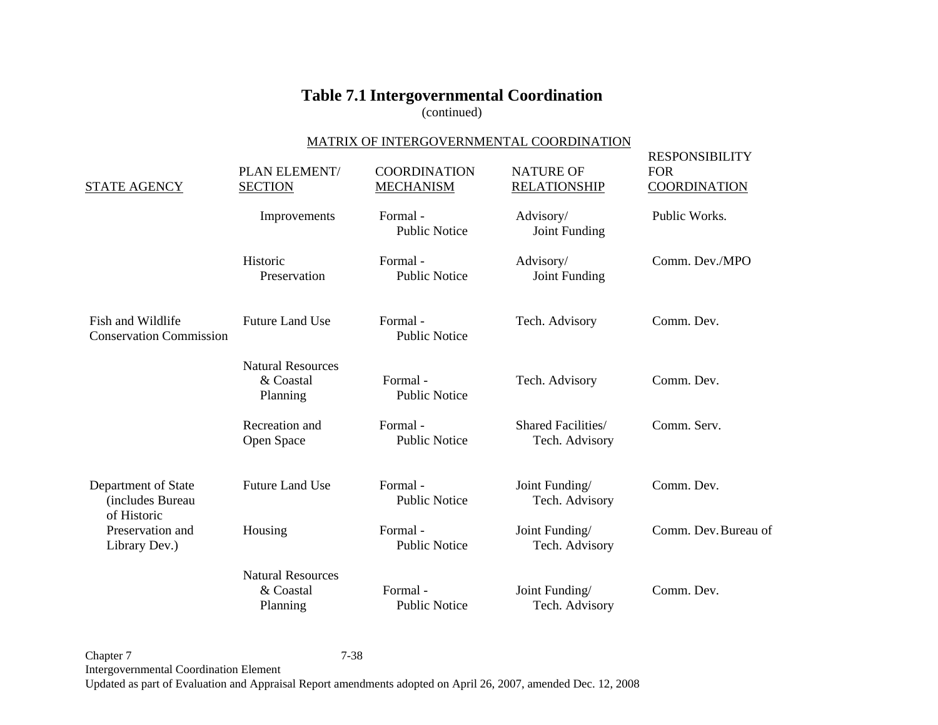(continued)

#### MATRIX OF INTERGOVERNMENTAL COORDINATION

| <b>STATE AGENCY</b>                                    | PLAN ELEMENT/<br><b>SECTION</b>                   | <b>COORDINATION</b><br><b>MECHANISM</b> | <b>NATURE OF</b><br><b>RELATIONSHIP</b> | <b>RESPONSIBILITY</b><br><b>FOR</b><br><b>COORDINATION</b> |
|--------------------------------------------------------|---------------------------------------------------|-----------------------------------------|-----------------------------------------|------------------------------------------------------------|
|                                                        | Improvements                                      | Formal-<br><b>Public Notice</b>         | Advisory/<br>Joint Funding              | Public Works.                                              |
|                                                        | Historic<br>Preservation                          | Formal-<br><b>Public Notice</b>         | Advisory/<br>Joint Funding              | Comm. Dev./MPO                                             |
| Fish and Wildlife<br><b>Conservation Commission</b>    | <b>Future Land Use</b>                            | Formal-<br><b>Public Notice</b>         | Tech. Advisory                          | Comm. Dev.                                                 |
|                                                        | <b>Natural Resources</b><br>& Coastal<br>Planning | Formal-<br><b>Public Notice</b>         | Tech. Advisory                          | Comm. Dev.                                                 |
|                                                        | Recreation and<br>Open Space                      | Formal-<br><b>Public Notice</b>         | Shared Facilities/<br>Tech. Advisory    | Comm. Serv.                                                |
| Department of State<br>(includes Bureau<br>of Historic | <b>Future Land Use</b>                            | Formal-<br><b>Public Notice</b>         | Joint Funding/<br>Tech. Advisory        | Comm. Dev.                                                 |
| Preservation and<br>Library Dev.)                      | Housing                                           | Formal-<br><b>Public Notice</b>         | Joint Funding/<br>Tech. Advisory        | Comm. Dev. Bureau of                                       |
|                                                        | <b>Natural Resources</b><br>& Coastal<br>Planning | Formal-<br><b>Public Notice</b>         | Joint Funding/<br>Tech. Advisory        | Comm. Dev.                                                 |

Chapter 7 7-38 Intergovernmental Coordination Element Updated as part of Evaluation and Appraisal Report amendments adopted on April 26, 2007, amended Dec. 12, 2008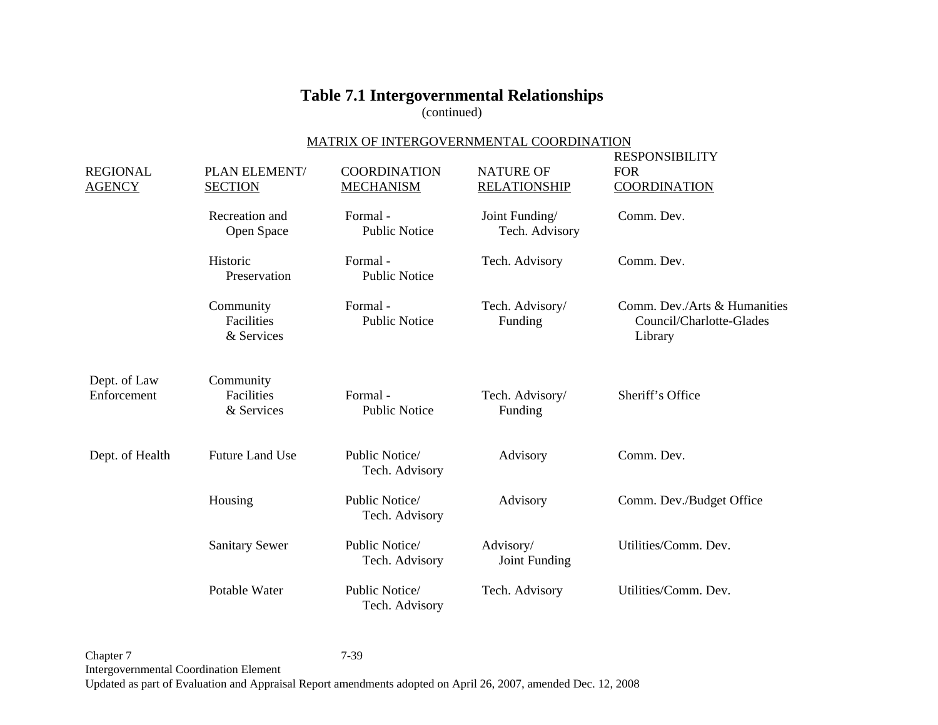(continued)

### MATRIX OF INTERGOVERNMENTAL COORDINATION

| <b>REGIONAL</b><br><b>AGENCY</b> | PLAN ELEMENT/<br><b>SECTION</b>       | <b>COORDINATION</b><br><b>MECHANISM</b> | <b>NATURE OF</b><br><b>RELATIONSHIP</b> | <b>RESPONSIBILITY</b><br><b>FOR</b><br><b>COORDINATION</b>          |
|----------------------------------|---------------------------------------|-----------------------------------------|-----------------------------------------|---------------------------------------------------------------------|
|                                  | Recreation and<br>Open Space          | Formal-<br><b>Public Notice</b>         | Joint Funding/<br>Tech. Advisory        | Comm. Dev.                                                          |
|                                  | Historic<br>Preservation              | Formal-<br><b>Public Notice</b>         | Tech. Advisory                          | Comm. Dev.                                                          |
|                                  | Community<br>Facilities<br>& Services | Formal-<br><b>Public Notice</b>         | Tech. Advisory/<br>Funding              | Comm. Dev./Arts & Humanities<br>Council/Charlotte-Glades<br>Library |
| Dept. of Law<br>Enforcement      | Community<br>Facilities<br>& Services | Formal-<br><b>Public Notice</b>         | Tech. Advisory/<br>Funding              | Sheriff's Office                                                    |
| Dept. of Health                  | <b>Future Land Use</b>                | Public Notice/<br>Tech. Advisory        | Advisory                                | Comm. Dev.                                                          |
|                                  | Housing                               | Public Notice/<br>Tech. Advisory        | Advisory                                | Comm. Dev./Budget Office                                            |
|                                  | <b>Sanitary Sewer</b>                 | Public Notice/<br>Tech. Advisory        | Advisory/<br>Joint Funding              | Utilities/Comm. Dev.                                                |
|                                  | Potable Water                         | Public Notice/<br>Tech. Advisory        | Tech. Advisory                          | Utilities/Comm. Dev.                                                |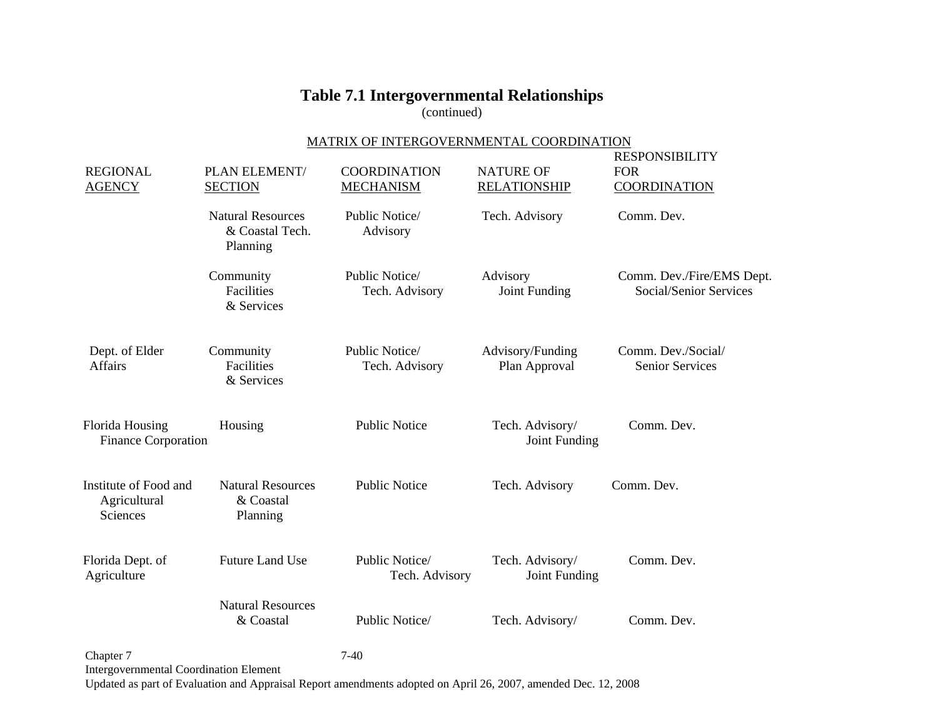(continued)

### MATRIX OF INTERGOVERNMENTAL COORDINATION

| <b>REGIONAL</b><br><b>AGENCY</b>                           | PLAN ELEMENT/<br><b>SECTION</b>                         | <b>COORDINATION</b><br><b>MECHANISM</b> | <b>NATURE OF</b><br><b>RELATIONSHIP</b> | <b>RESPONSIBILITY</b><br><b>FOR</b><br><b>COORDINATION</b> |
|------------------------------------------------------------|---------------------------------------------------------|-----------------------------------------|-----------------------------------------|------------------------------------------------------------|
|                                                            | <b>Natural Resources</b><br>& Coastal Tech.<br>Planning | Public Notice/<br>Advisory              | Tech. Advisory                          | Comm. Dev.                                                 |
|                                                            | Community<br>Facilities<br>& Services                   | Public Notice/<br>Tech. Advisory        | Advisory<br>Joint Funding               | Comm. Dev./Fire/EMS Dept.<br>Social/Senior Services        |
| Dept. of Elder<br>Affairs                                  | Community<br>Facilities<br>& Services                   | Public Notice/<br>Tech. Advisory        | Advisory/Funding<br>Plan Approval       | Comm. Dev./Social/<br><b>Senior Services</b>               |
| Florida Housing<br>Finance Corporation                     | Housing                                                 | <b>Public Notice</b>                    | Tech. Advisory/<br>Joint Funding        | Comm. Dev.                                                 |
| Institute of Food and<br>Agricultural<br>Sciences          | <b>Natural Resources</b><br>& Coastal<br>Planning       | <b>Public Notice</b>                    | Tech. Advisory                          | Comm. Dev.                                                 |
| Florida Dept. of<br>Agriculture                            | <b>Future Land Use</b>                                  | Public Notice/<br>Tech. Advisory        | Tech. Advisory/<br>Joint Funding        | Comm. Dev.                                                 |
|                                                            | <b>Natural Resources</b><br>& Coastal                   | Public Notice/                          | Tech. Advisory/                         | Comm. Dev.                                                 |
| Chapter 7<br><b>Intergovernmental Coordination Element</b> |                                                         | $7-40$                                  |                                         |                                                            |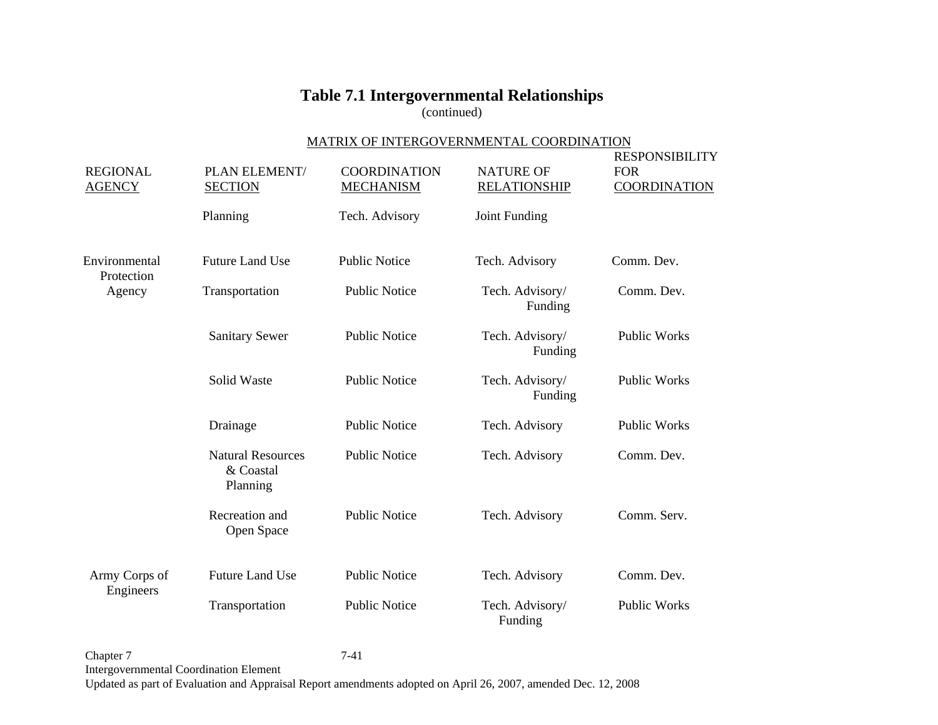(continued)

### MATRIX OF INTERGOVERNMENTAL COORDINATION

| <b>REGIONAL</b><br><b>AGENCY</b> | PLAN ELEMENT/<br><b>SECTION</b>                   | <b>COORDINATION</b><br><b>MECHANISM</b> | <b>NATURE OF</b><br><b>RELATIONSHIP</b> | <b>RESPONSIBILITY</b><br><b>FOR</b><br><b>COORDINATION</b> |
|----------------------------------|---------------------------------------------------|-----------------------------------------|-----------------------------------------|------------------------------------------------------------|
|                                  | Planning                                          | Tech. Advisory                          | Joint Funding                           |                                                            |
| Environmental<br>Protection      | <b>Future Land Use</b>                            | <b>Public Notice</b>                    | Tech. Advisory                          | Comm. Dev.                                                 |
| Agency                           | Transportation                                    | <b>Public Notice</b>                    | Tech. Advisory/<br>Funding              | Comm. Dev.                                                 |
|                                  | <b>Sanitary Sewer</b>                             | <b>Public Notice</b>                    | Tech. Advisory/<br>Funding              | <b>Public Works</b>                                        |
|                                  | Solid Waste                                       | <b>Public Notice</b>                    | Tech. Advisory/<br>Funding              | <b>Public Works</b>                                        |
|                                  | Drainage                                          | <b>Public Notice</b>                    | Tech. Advisory                          | <b>Public Works</b>                                        |
|                                  | <b>Natural Resources</b><br>& Coastal<br>Planning | <b>Public Notice</b>                    | Tech. Advisory                          | Comm. Dev.                                                 |
|                                  | Recreation and<br>Open Space                      | <b>Public Notice</b>                    | Tech. Advisory                          | Comm. Serv.                                                |
| Army Corps of                    | <b>Future Land Use</b>                            | <b>Public Notice</b>                    | Tech. Advisory                          | Comm. Dev.                                                 |
| Engineers                        | Transportation                                    | <b>Public Notice</b>                    | Tech. Advisory/<br>Funding              | <b>Public Works</b>                                        |

Chapter 7 7-41 Intergovernmental Coordination Element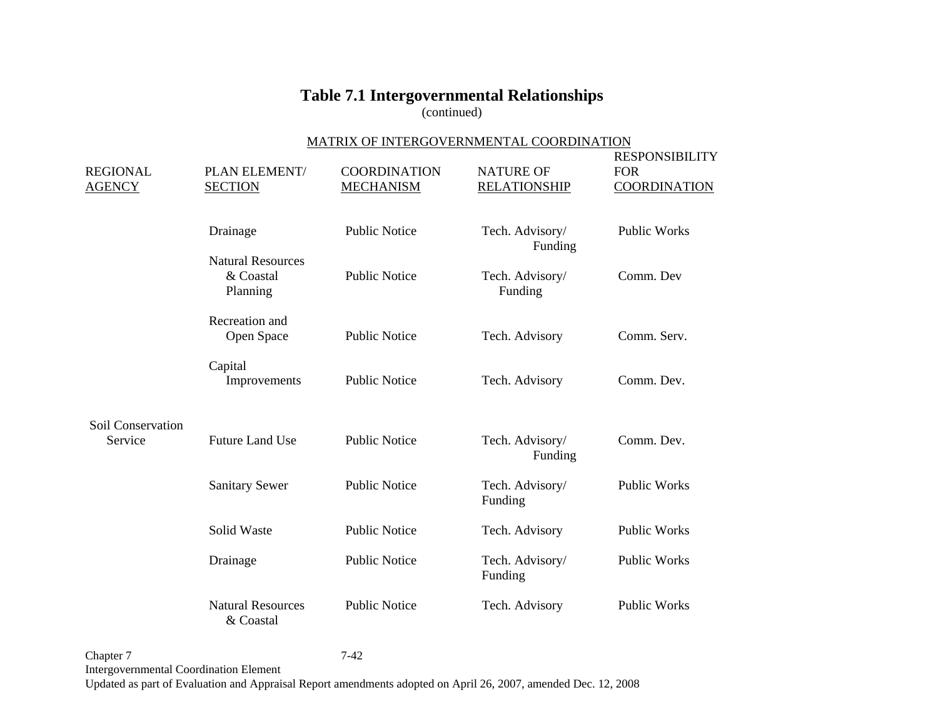(continued)

### MATRIX OF INTERGOVERNMENTAL COORDINATION

| <b>REGIONAL</b><br><b>AGENCY</b> | PLAN ELEMENT/<br><b>SECTION</b>                   | <b>COORDINATION</b><br><b>MECHANISM</b> | <b>NATURE OF</b><br><b>RELATIONSHIP</b> | <b>RESPONSIBILITY</b><br><b>FOR</b><br><b>COORDINATION</b> |
|----------------------------------|---------------------------------------------------|-----------------------------------------|-----------------------------------------|------------------------------------------------------------|
|                                  | Drainage                                          | <b>Public Notice</b>                    | Tech. Advisory/<br>Funding              | <b>Public Works</b>                                        |
|                                  | <b>Natural Resources</b><br>& Coastal<br>Planning | <b>Public Notice</b>                    | Tech. Advisory/<br>Funding              | Comm. Dev                                                  |
|                                  | Recreation and<br>Open Space                      | <b>Public Notice</b>                    | Tech. Advisory                          | Comm. Serv.                                                |
|                                  | Capital<br>Improvements                           | <b>Public Notice</b>                    | Tech. Advisory                          | Comm. Dev.                                                 |
| Soil Conservation<br>Service     | <b>Future Land Use</b>                            | <b>Public Notice</b>                    | Tech. Advisory/<br>Funding              | Comm. Dev.                                                 |
|                                  | <b>Sanitary Sewer</b>                             | <b>Public Notice</b>                    | Tech. Advisory/<br>Funding              | <b>Public Works</b>                                        |
|                                  | Solid Waste                                       | <b>Public Notice</b>                    | Tech. Advisory                          | <b>Public Works</b>                                        |
|                                  | Drainage                                          | <b>Public Notice</b>                    | Tech. Advisory/<br>Funding              | <b>Public Works</b>                                        |
|                                  | <b>Natural Resources</b><br>& Coastal             | <b>Public Notice</b>                    | Tech. Advisory                          | <b>Public Works</b>                                        |

Chapter 7 7-42 Intergovernmental Coordination Element Updated as part of Evaluation and Appraisal Report amendments adopted on April 26, 2007, amended Dec. 12, 2008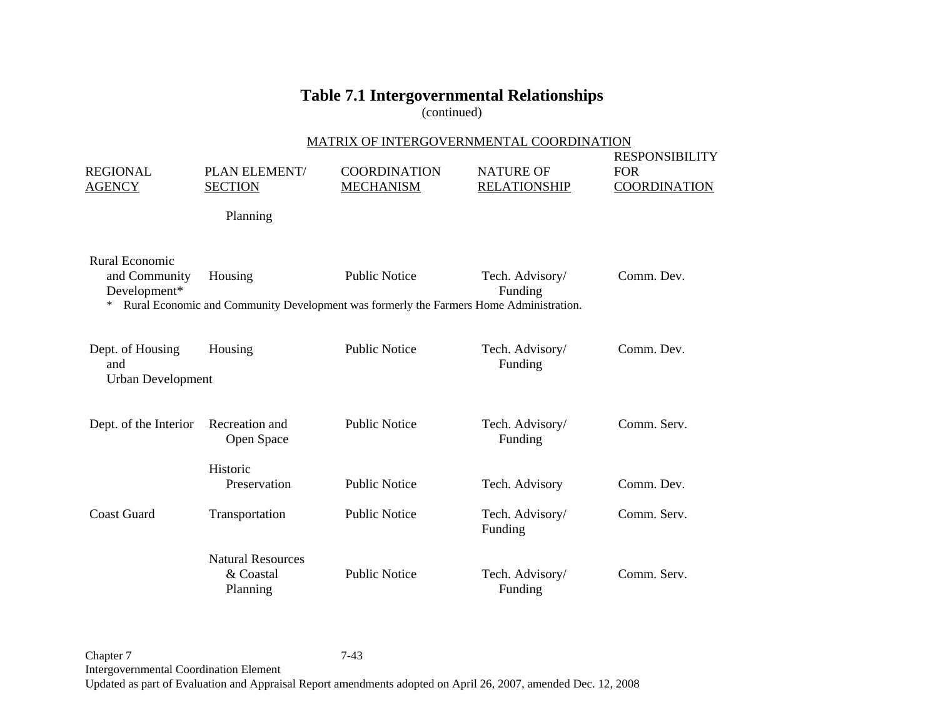(continued)

|                                                      | MATRIX OF INTERGOVERNMENTAL COORDINATION          |                                                                                                                |                                         |                                                            |
|------------------------------------------------------|---------------------------------------------------|----------------------------------------------------------------------------------------------------------------|-----------------------------------------|------------------------------------------------------------|
| <b>REGIONAL</b><br><b>AGENCY</b>                     | PLAN ELEMENT/<br><b>SECTION</b>                   | <b>COORDINATION</b><br><b>MECHANISM</b>                                                                        | <b>NATURE OF</b><br><b>RELATIONSHIP</b> | <b>RESPONSIBILITY</b><br><b>FOR</b><br><b>COORDINATION</b> |
|                                                      | Planning                                          |                                                                                                                |                                         |                                                            |
| Rural Economic<br>and Community<br>Development*<br>∗ | Housing                                           | <b>Public Notice</b><br>Rural Economic and Community Development was formerly the Farmers Home Administration. | Tech. Advisory/<br>Funding              | Comm. Dev.                                                 |
| Dept. of Housing<br>and<br><b>Urban Development</b>  | Housing                                           | <b>Public Notice</b>                                                                                           | Tech. Advisory/<br>Funding              | Comm. Dev.                                                 |
| Dept. of the Interior                                | Recreation and<br>Open Space                      | <b>Public Notice</b>                                                                                           | Tech. Advisory/<br>Funding              | Comm. Serv.                                                |
|                                                      | Historic<br>Preservation                          | <b>Public Notice</b>                                                                                           | Tech. Advisory                          | Comm. Dev.                                                 |
| <b>Coast Guard</b>                                   | Transportation                                    | <b>Public Notice</b>                                                                                           | Tech. Advisory/<br>Funding              | Comm. Serv.                                                |
|                                                      | <b>Natural Resources</b><br>& Coastal<br>Planning | <b>Public Notice</b>                                                                                           | Tech. Advisory/<br>Funding              | Comm. Serv.                                                |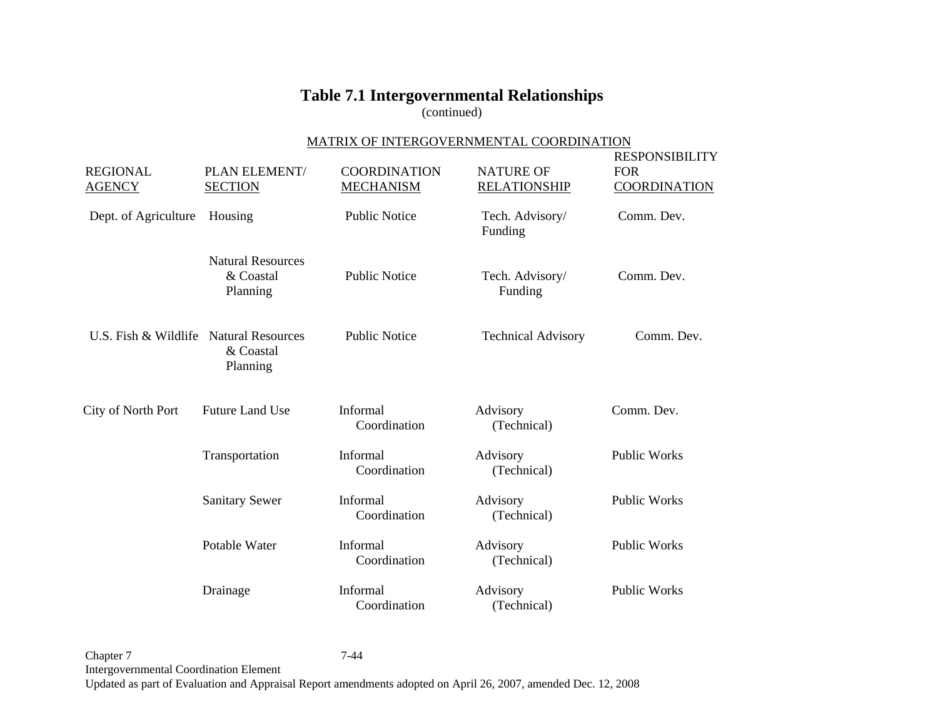(continued)

### MATRIX OF INTERGOVERNMENTAL COORDINATION

| <b>REGIONAL</b><br><b>AGENCY</b>       | PLAN ELEMENT/<br><b>SECTION</b>                   | <b>COORDINATION</b><br><b>MECHANISM</b> | <b>NATURE OF</b><br><b>RELATIONSHIP</b> | <b>RESPONSIBILITY</b><br><b>FOR</b><br><b>COORDINATION</b> |
|----------------------------------------|---------------------------------------------------|-----------------------------------------|-----------------------------------------|------------------------------------------------------------|
| Dept. of Agriculture                   | Housing                                           | <b>Public Notice</b>                    | Tech. Advisory/<br>Funding              | Comm. Dev.                                                 |
|                                        | <b>Natural Resources</b><br>& Coastal<br>Planning | <b>Public Notice</b>                    | Tech. Advisory/<br>Funding              | Comm. Dev.                                                 |
| U.S. Fish & Wildlife Natural Resources | & Coastal<br>Planning                             | <b>Public Notice</b>                    | <b>Technical Advisory</b>               | Comm. Dev.                                                 |
| City of North Port                     | <b>Future Land Use</b>                            | Informal<br>Coordination                | Advisory<br>(Technical)                 | Comm. Dev.                                                 |
|                                        | Transportation                                    | Informal<br>Coordination                | Advisory<br>(Technical)                 | <b>Public Works</b>                                        |
|                                        | <b>Sanitary Sewer</b>                             | Informal<br>Coordination                | Advisory<br>(Technical)                 | <b>Public Works</b>                                        |
|                                        | Potable Water                                     | Informal<br>Coordination                | Advisory<br>(Technical)                 | <b>Public Works</b>                                        |
|                                        | Drainage                                          | Informal<br>Coordination                | Advisory<br>(Technical)                 | <b>Public Works</b>                                        |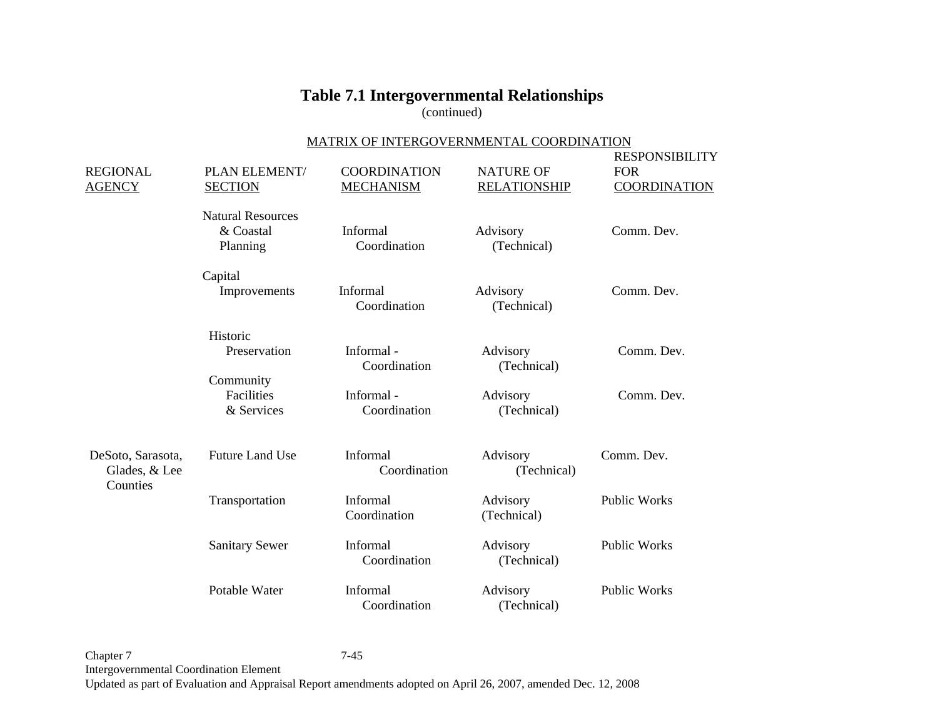(continued)

#### MATRIX OF INTERGOVERNMENTAL COORDINATION

| <b>REGIONAL</b><br><b>AGENCY</b>               | PLAN ELEMENT/<br><b>SECTION</b>                   | <b>COORDINATION</b><br><b>MECHANISM</b> | <b>NATURE OF</b><br><b>RELATIONSHIP</b> | <b>RESPONSIBILITY</b><br><b>FOR</b><br><b>COORDINATION</b> |
|------------------------------------------------|---------------------------------------------------|-----------------------------------------|-----------------------------------------|------------------------------------------------------------|
|                                                | <b>Natural Resources</b><br>& Coastal<br>Planning | Informal<br>Coordination                | Advisory<br>(Technical)                 | Comm. Dev.                                                 |
|                                                | Capital<br>Improvements                           | Informal<br>Coordination                | Advisory<br>(Technical)                 | Comm. Dev.                                                 |
|                                                | Historic<br>Preservation                          | Informal-<br>Coordination               | Advisory<br>(Technical)                 | Comm. Dev.                                                 |
|                                                | Community<br>Facilities<br>& Services             | Informal-<br>Coordination               | Advisory<br>(Technical)                 | Comm. Dev.                                                 |
| DeSoto, Sarasota,<br>Glades, & Lee<br>Counties | <b>Future Land Use</b>                            | Informal<br>Coordination                | Advisory<br>(Technical)                 | Comm. Dev.                                                 |
|                                                | Transportation                                    | Informal<br>Coordination                | Advisory<br>(Technical)                 | <b>Public Works</b>                                        |
|                                                | <b>Sanitary Sewer</b>                             | Informal<br>Coordination                | Advisory<br>(Technical)                 | <b>Public Works</b>                                        |
|                                                | Potable Water                                     | Informal<br>Coordination                | Advisory<br>(Technical)                 | <b>Public Works</b>                                        |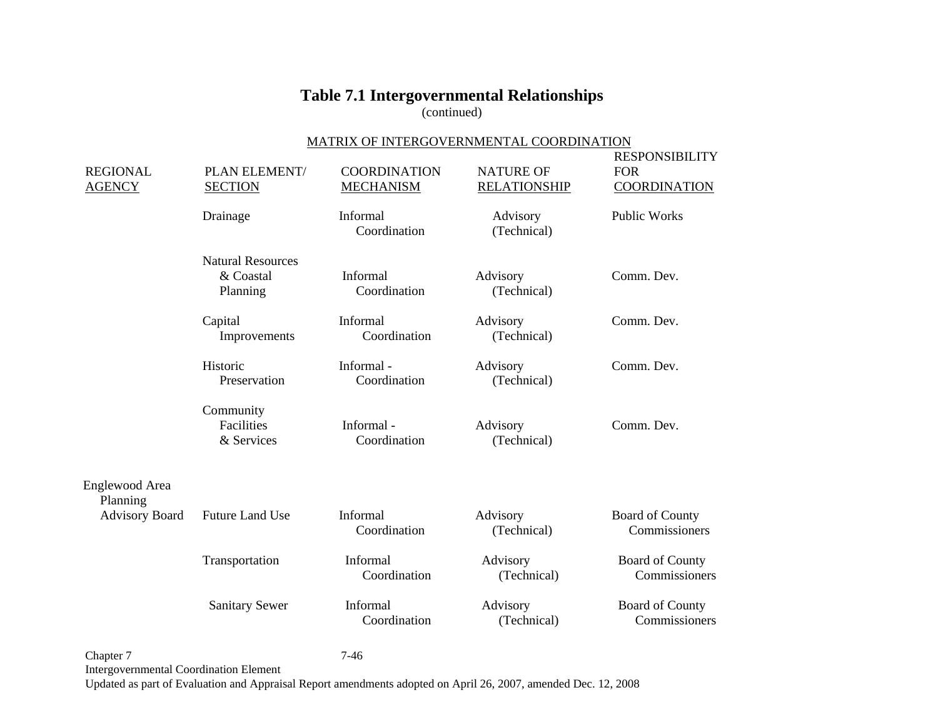(continued)

### MATRIX OF INTERGOVERNMENTAL COORDINATION

| <b>REGIONAL</b><br><b>AGENCY</b> | PLAN ELEMENT/<br><b>SECTION</b>                   | <b>COORDINATION</b><br><b>MECHANISM</b> | <b>NATURE OF</b><br><b>RELATIONSHIP</b> | <b>RESPONSIBILITY</b><br><b>FOR</b><br><b>COORDINATION</b> |
|----------------------------------|---------------------------------------------------|-----------------------------------------|-----------------------------------------|------------------------------------------------------------|
|                                  | Drainage                                          | Informal<br>Coordination                | Advisory<br>(Technical)                 | Public Works                                               |
|                                  | <b>Natural Resources</b><br>& Coastal<br>Planning | Informal<br>Coordination                | Advisory<br>(Technical)                 | Comm. Dev.                                                 |
|                                  | Capital<br>Improvements                           | Informal<br>Coordination                | Advisory<br>(Technical)                 | Comm. Dev.                                                 |
|                                  | Historic<br>Preservation                          | Informal-<br>Coordination               | Advisory<br>(Technical)                 | Comm. Dev.                                                 |
|                                  | Community<br>Facilities<br>& Services             | Informal-<br>Coordination               | Advisory<br>(Technical)                 | Comm. Dev.                                                 |
| Englewood Area<br>Planning       |                                                   |                                         |                                         |                                                            |
| <b>Advisory Board</b>            | <b>Future Land Use</b>                            | Informal<br>Coordination                | Advisory<br>(Technical)                 | <b>Board of County</b><br>Commissioners                    |
|                                  | Transportation                                    | Informal<br>Coordination                | Advisory<br>(Technical)                 | Board of County<br>Commissioners                           |
|                                  | <b>Sanitary Sewer</b>                             | Informal<br>Coordination                | Advisory<br>(Technical)                 | <b>Board of County</b><br>Commissioners                    |
| Chapter 7                        |                                                   | $7 - 46$                                |                                         |                                                            |

Intergovernmental Coordination Element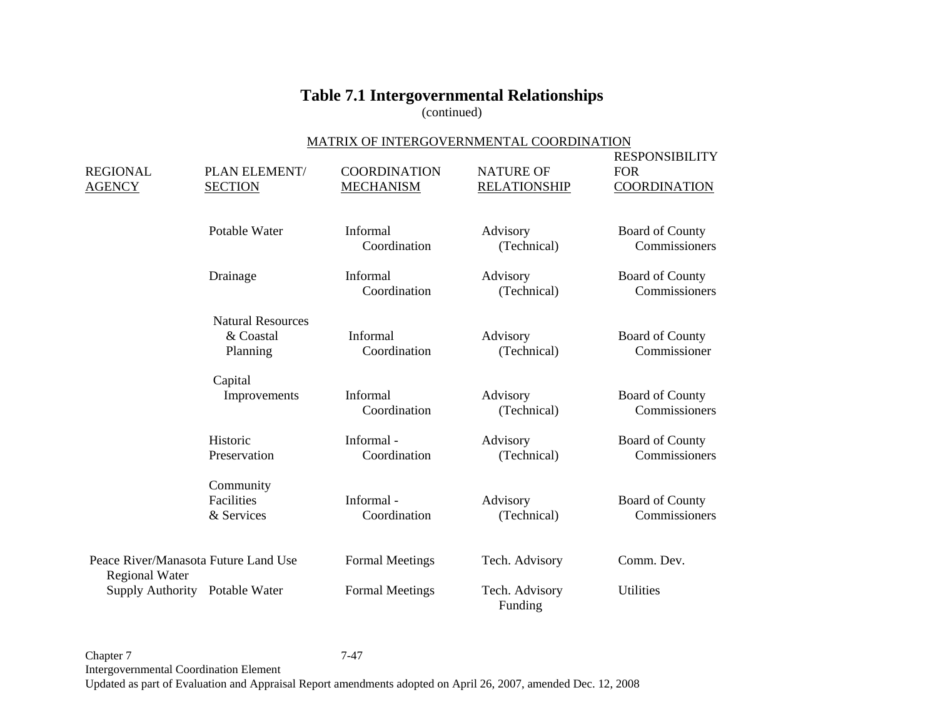(continued)

#### MATRIX OF INTERGOVERNMENTAL COORDINATION

| <b>REGIONAL</b><br><b>AGENCY</b>                              | PLAN ELEMENT/<br><b>SECTION</b>                   | <b>COORDINATION</b><br><b>MECHANISM</b> | <b>NATURE OF</b><br><b>RELATIONSHIP</b> | <b>RESPONSIBILITY</b><br><b>FOR</b><br><b>COORDINATION</b> |
|---------------------------------------------------------------|---------------------------------------------------|-----------------------------------------|-----------------------------------------|------------------------------------------------------------|
|                                                               | Potable Water                                     | Informal<br>Coordination                | Advisory<br>(Technical)                 | <b>Board of County</b><br>Commissioners                    |
|                                                               | Drainage                                          | Informal<br>Coordination                | Advisory<br>(Technical)                 | Board of County<br>Commissioners                           |
|                                                               | <b>Natural Resources</b><br>& Coastal<br>Planning | Informal<br>Coordination                | Advisory<br>(Technical)                 | <b>Board of County</b><br>Commissioner                     |
|                                                               | Capital<br>Improvements                           | Informal<br>Coordination                | Advisory<br>(Technical)                 | Board of County<br>Commissioners                           |
|                                                               | Historic<br>Preservation                          | Informal-<br>Coordination               | Advisory<br>(Technical)                 | Board of County<br>Commissioners                           |
|                                                               | Community<br>Facilities<br>& Services             | Informal-<br>Coordination               | Advisory<br>(Technical)                 | <b>Board of County</b><br>Commissioners                    |
| Peace River/Manasota Future Land Use<br><b>Regional Water</b> |                                                   | <b>Formal Meetings</b>                  | Tech. Advisory                          | Comm. Dev.                                                 |
| <b>Supply Authority</b>                                       | Potable Water                                     | <b>Formal Meetings</b>                  | Tech. Advisory<br>Funding               | <b>Utilities</b>                                           |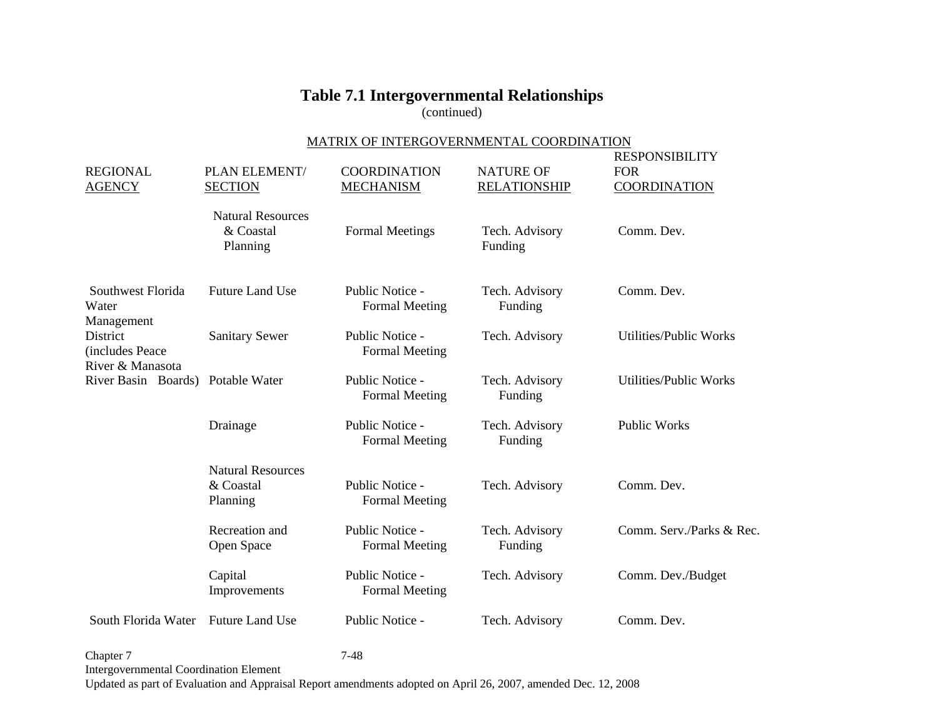(continued)

### MATRIX OF INTERGOVERNMENTAL COORDINATION

| <b>REGIONAL</b><br><b>AGENCY</b>                                                     | PLAN ELEMENT/<br><b>SECTION</b>                   | <b>COORDINATION</b><br><b>MECHANISM</b>  | <b>NATURE OF</b><br><b>RELATIONSHIP</b> | <b>RESPONSIBILITY</b><br><b>FOR</b><br><b>COORDINATION</b> |
|--------------------------------------------------------------------------------------|---------------------------------------------------|------------------------------------------|-----------------------------------------|------------------------------------------------------------|
|                                                                                      | <b>Natural Resources</b><br>& Coastal<br>Planning | <b>Formal Meetings</b>                   | Tech. Advisory<br>Funding               | Comm. Dev.                                                 |
| Southwest Florida<br>Water<br>Management                                             | <b>Future Land Use</b>                            | Public Notice -<br><b>Formal Meeting</b> | Tech. Advisory<br>Funding               | Comm. Dev.                                                 |
| District<br>(includes Peace<br>River & Manasota<br>River Basin Boards) Potable Water | <b>Sanitary Sewer</b>                             | Public Notice -<br><b>Formal Meeting</b> | Tech. Advisory                          | <b>Utilities/Public Works</b>                              |
|                                                                                      |                                                   | Public Notice -<br><b>Formal Meeting</b> | Tech. Advisory<br>Funding               | Utilities/Public Works                                     |
|                                                                                      | Drainage                                          | Public Notice -<br><b>Formal Meeting</b> | Tech. Advisory<br>Funding               | <b>Public Works</b>                                        |
|                                                                                      | <b>Natural Resources</b><br>& Coastal<br>Planning | Public Notice -<br><b>Formal Meeting</b> | Tech. Advisory                          | Comm. Dev.                                                 |
|                                                                                      | Recreation and<br>Open Space                      | Public Notice -<br><b>Formal Meeting</b> | Tech. Advisory<br>Funding               | Comm. Serv./Parks & Rec.                                   |
|                                                                                      | Capital<br>Improvements                           | Public Notice -<br><b>Formal Meeting</b> | Tech. Advisory                          | Comm. Dev./Budget                                          |
| South Florida Water                                                                  | <b>Future Land Use</b>                            | Public Notice -                          | Tech. Advisory                          | Comm. Dev.                                                 |

Chapter 7 7-48 Intergovernmental Coordination Element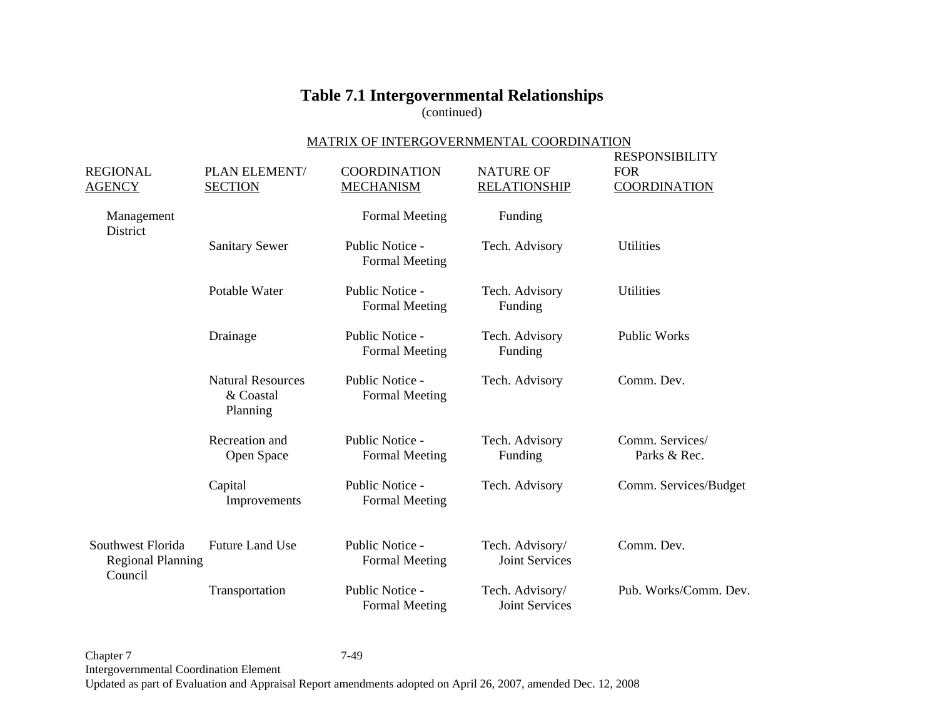(continued)

### MATRIX OF INTERGOVERNMENTAL COORDINATION

| <b>REGIONAL</b><br><b>AGENCY</b>                         | PLAN ELEMENT/<br><b>SECTION</b>                   | <b>COORDINATION</b><br><b>MECHANISM</b>  | <b>NATURE OF</b><br><b>RELATIONSHIP</b>  | <b>RESPONSIBILITY</b><br><b>FOR</b><br><b>COORDINATION</b> |
|----------------------------------------------------------|---------------------------------------------------|------------------------------------------|------------------------------------------|------------------------------------------------------------|
| Management<br>District                                   |                                                   | <b>Formal Meeting</b>                    | Funding                                  |                                                            |
|                                                          | <b>Sanitary Sewer</b>                             | Public Notice -<br><b>Formal Meeting</b> | Tech. Advisory                           | Utilities                                                  |
|                                                          | Potable Water                                     | Public Notice -<br><b>Formal Meeting</b> | Tech. Advisory<br>Funding                | <b>Utilities</b>                                           |
|                                                          | Drainage                                          | Public Notice -<br><b>Formal Meeting</b> | Tech. Advisory<br>Funding                | <b>Public Works</b>                                        |
|                                                          | <b>Natural Resources</b><br>& Coastal<br>Planning | Public Notice -<br><b>Formal Meeting</b> | Tech. Advisory                           | Comm. Dev.                                                 |
|                                                          | Recreation and<br>Open Space                      | Public Notice -<br><b>Formal Meeting</b> | Tech. Advisory<br>Funding                | Comm. Services/<br>Parks & Rec.                            |
|                                                          | Capital<br>Improvements                           | Public Notice -<br><b>Formal Meeting</b> | Tech. Advisory                           | Comm. Services/Budget                                      |
| Southwest Florida<br><b>Regional Planning</b><br>Council | <b>Future Land Use</b>                            | Public Notice -<br><b>Formal Meeting</b> | Tech. Advisory/<br><b>Joint Services</b> | Comm. Dev.                                                 |
|                                                          | Transportation                                    | Public Notice -<br><b>Formal Meeting</b> | Tech. Advisory/<br><b>Joint Services</b> | Pub. Works/Comm. Dev.                                      |

Chapter 7 7-49 Intergovernmental Coordination Element Updated as part of Evaluation and Appraisal Report amendments adopted on April 26, 2007, amended Dec. 12, 2008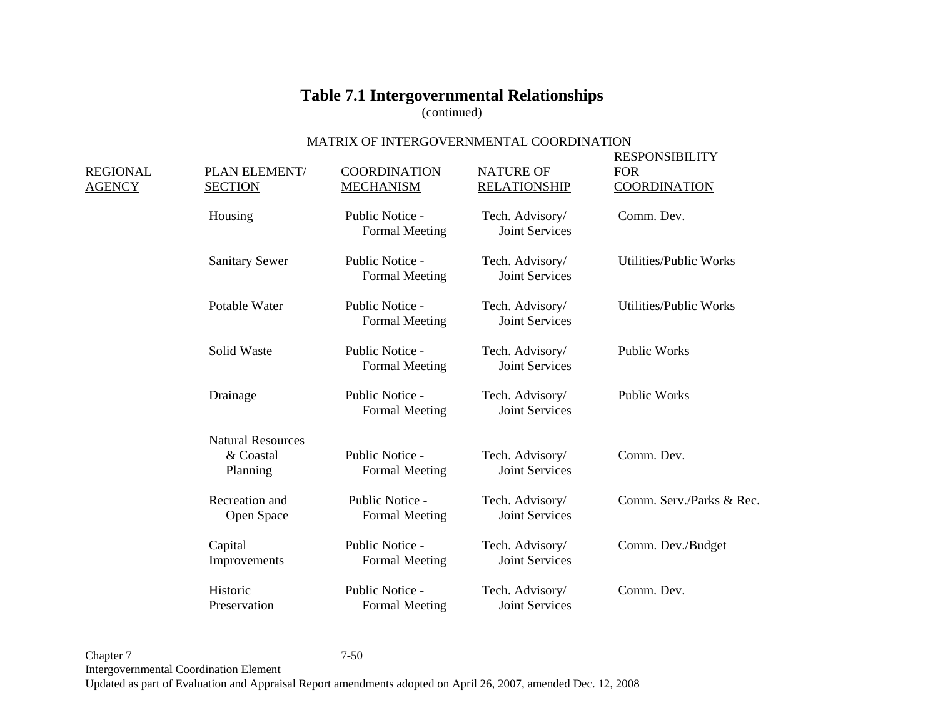(continued)

### MATRIX OF INTERGOVERNMENTAL COORDINATION

| REGIONAL<br><b>AGENCY</b> | PLAN ELEMENT/<br><b>SECTION</b> | <b>COORDINATION</b><br><b>MECHANISM</b>  | <b>NATURE OF</b><br><b>RELATIONSHIP</b>  | RESPONSIBILITY<br><b>FOR</b><br><b>COORDINATION</b> |
|---------------------------|---------------------------------|------------------------------------------|------------------------------------------|-----------------------------------------------------|
|                           | Housing                         | Public Notice -<br><b>Formal Meeting</b> | Tech. Advisory/<br><b>Joint Services</b> | Comm. Dev.                                          |
|                           | <b>Sanitary Sewer</b>           | Public Notice -<br><b>Formal Meeting</b> | Tech. Advisory/<br><b>Joint Services</b> | <b>Utilities/Public Works</b>                       |
|                           | Potable Water                   | Public Notice -<br><b>Formal Meeting</b> | Tech. Advisory/<br><b>Joint Services</b> | <b>Utilities/Public Works</b>                       |
|                           | Solid Waste                     | Public Notice -<br><b>Formal Meeting</b> | Tech. Advisory/<br><b>Joint Services</b> | <b>Public Works</b>                                 |
|                           | Drainage                        | Public Notice -<br><b>Formal Meeting</b> | Tech. Advisory/<br><b>Joint Services</b> | Public Works                                        |
|                           | <b>Natural Resources</b>        |                                          |                                          |                                                     |
|                           | & Coastal<br>Planning           | Public Notice -<br>Formal Meeting        | Tech. Advisory/<br><b>Joint Services</b> | Comm. Dev.                                          |
|                           | Recreation and<br>Open Space    | Public Notice -<br><b>Formal Meeting</b> | Tech. Advisory/<br><b>Joint Services</b> | Comm. Serv./Parks & Rec.                            |
|                           | Capital<br>Improvements         | Public Notice -<br><b>Formal Meeting</b> | Tech. Advisory/<br><b>Joint Services</b> | Comm. Dev./Budget                                   |
|                           | Historic<br>Preservation        | Public Notice -<br><b>Formal Meeting</b> | Tech. Advisory/<br><b>Joint Services</b> | Comm. Dev.                                          |

Chapter 7 7-50 Intergovernmental Coordination Element Updated as part of Evaluation and Appraisal Report amendments adopted on April 26, 2007, amended Dec. 12, 2008